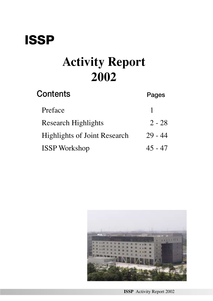## **ISSP**

# **Activity Report 2002**

| Contents                            | Pages     |
|-------------------------------------|-----------|
| Preface                             |           |
| <b>Research Highlights</b>          | $2 - 28$  |
| <b>Highlights of Joint Research</b> | $29 - 44$ |
| <b>ISSP Workshop</b>                | $45 - 47$ |



**ISSP** Activity Report 2002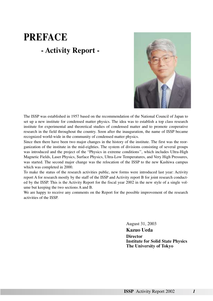## **PREFACE - Activity Report -**



The ISSP was established in 1957 based on the recommendation of the National Council of Japan to set up a new institute for condensed matter physics. The idea was to establish a top class research institute for experimental and theoretical studies of condensed matter and to promote cooperative research in the field throughout the country. Soon after the inauguration, the name of ISSP became recognized world-wide in the community of condensed matter physics.

Since then there have been two major changes in the history of the institute. The first was the reorganization of the institute in the mid-eighties. The system of divisions consisting of several groups was introduced and the project of the "Physics in extreme conditions'', which includes Ultra-High Magnetic Fields, Laser Physics, Surface Physics, Ultra-Low Temperatures, and Very High Pressures, was started. The second major change was the relocation of the ISSP to the new Kashiwa campus which was completed in 2000.

To make the status of the research activities public, new forms were introduced last year: Activity report A for research mostly by the staff of the ISSP and Activity report B for joint research conducted by the ISSP. This is the Activity Report for the fiscal year 2002 in the new style of a single volume but keeping the two sections A and B.

We are happy to receive any comments on the Report for the possible improvement of the research activities of the ISSP.

> August 31, 2003 **Kazuo Ueda**

**Director Institute for Solid State Physics The University of Tokyo**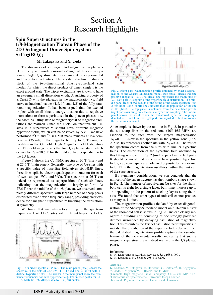## Section A Research Highlights

## **Spin Superstructures in the 1/8-Magnetization Plateau Phase of the 2D Orthogonal Dimer Spin System SrCu2(BO3)2**

#### **M. Takigawa and Y. Ueda**

The discovery of a spin-gap and magnetization plateaus [1] in the quasi two-dimensional orthogonal dimer spin system  $SrCu<sub>2</sub>(BO<sub>3</sub>)<sub>2</sub>$  stimulated vast amount of experimental and theoretical activities. The crystal structure realizes a stack of the two-dimensional Shastry-Sutherland spin model, for which the direct product of dimer singlets is the exact ground state. The triplet excitations are known to have an extremely small dispersion width. A striking property of  $SrCu<sub>2</sub>(BO<sub>3</sub>)<sub>2</sub>$  is the plateaus in the magnetization vs. field curve at fractional values (1/8, 1/4 and 1/3) of the fully saturated magnetization. It has been argued that the excited triplets with small kinetic energy localize due to repulsive interactions to form superlattices in the plateau phases, i.e., the Mott insulating state or Wigner crystal of magnetic excitations are realized. Since the nuclei on inequivalent Cusites in a superstructure should have different magnetic hyperfine fields, which can be observed by NMR, we have performed 65Cu and 63Cu NMR measurements at low temperature (35 mK) in the magnetic field up to 28 T using the facilities in the Grenoble High Magnetic Field Laboratory [2]. The field range covers the first 1/8 plateau state, which occurs for 27 – 28.5 T for the field applied perpendicular to the 2D layers.

Figure 1 shows the Cu NMR spectra at 26 T (inset) and at 27.6 T (main panel). Generally, one type of Cu-sites with a specific value of hyperfine field gives six NMR lines; three lines split by electric quadrupolar interaction for each of two isotopes  ${}^{65}Cu$  and  ${}^{63}Cu$ . The spectrum at 26 T can indeed be represented as superposition of such six lines, indicating that the magnetization is largely uniform. At 27.6 T near the middle of the 1/8 plateau, we observed completely different spectrum with large number of sharp peaks distributed over a wide frequency range, providing clear evidence for a magnetic superstructure breaking the translational symmetry.

We found that any satisfactory fitting of the spectrum requires at least 11 Cu sites with different hyperfine fields.







Fig. 2. Right part: Magnetization profile obtained by exact diagonalization of the Shastry-Sutherland model. Red (blue) circles indicate positive (negative)  $\langle S_z \rangle$ . The circle size represents the magnitude of  $\langle S_z \rangle$ . Left part: Histogram of the hyperfine field distribution. The middle panel (red) shows results of the fitting of the NMR spectrum (Fig. 2, red line). Long (short) lines indicate that the population of the site is 1/8 (1/16). The top panel is obtained from the calculated profile (right part) assuming only the on-site hyperfine coupling. The bottom panel shows the result when the transferred hyperfine couplings, denoted as B and C in the right part, are adjusted to best reproduce the experimental results.

An example is shown by the red line in Fig. 2. In particular, the six sharp lines in the red zone (105–165 MHz) are ascribed to the sites with the largest magnetization  $\langle S_z \rangle$ =0.30. Likewise the spectrum in the yellow zone (165-235 MHz) represents another site with  $\langle S_z \rangle$ =0.20. The rest of the spectrum comes from the sites with smaller hyperfine fields. The distribution of the hyperfine field obtained by this fitting is shown in Fig. 2 (middle panel in the left part). It should be noted that some sites have positive hyperfine fields, i.e., some spins are polarized opposite to the external field. Thus the magnetization oscillates within the unit cell of the superstructure.

By symmetry consideration, we can conclude that the unit cell of the superstructure has the rhomboid shape shown in Fig. 2. The number of inequivalent Cu sites for the rhomboid cell is eight for a single layer, but it may increase up to 16 depending on the pattern of stacking layers along the *c*axis. We found that other types of unit cell cannot produce as many as 11 sites.

The magnetization profile calculated by exact diagonalization of the Shastry-Sutherland model on a 16-spin cluster of the rhomboid cell is shown in Fig. 2. One can clearly recognize a building unit consisting of one strongly polarized dimmer surrounded by decaying oscillation of magnetization. This resembles the Friedel oscillation near impurities in metals. The distribution of the hyperfine fields derived from the calculatied magnetization profile captures the essential feature of the experimental results, indicating that such a magnetic superstructure is indeed realized in the 1/8 plateau phase.

#### **References**

[1] H. Kageyama *et al*., Phys. Rev. Lett. **82**, 3168 (1999). [2] K. Kodama *et al*., Science **298**, 395 (2002).

#### **Authors**

K. Kodama, M. Takigawa, M. Horvatic<sup>a</sup>, C. Berthier<sup>a,b</sup>, H. Kageyama, Y. Ueda, S. Miyahara<sup>b,c</sup>, F. Becca<sup>c</sup>, and F. Mila<sup>c</sup> <sup>a</sup>Grenoble High magnetic Field Labrqatory, CNRS-and MPI-KFK, bLaboratorie de Spectrométrie, Université Joseph Fourier, cInstitut de Physique Théorique, Université de Lausanne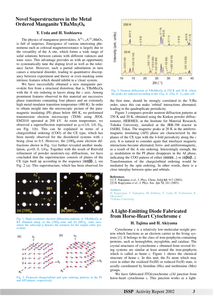## **Novel Superstructures in the Metal Ordered Manganite YBaMn<sub>2</sub>O<sub>6</sub>**

## **Y. Ueda and H. Yoshizawa**

The physics of manganese perovskites,  $A^{3+}_{1-x}A^{2+}_{x}MnO_3$ , is full of surprises. Emergence of various interesting phenomena such as colossal magnetoresistance is largely due to the versatility of the A site, which forms a wide range of solid solutions between cations with different valences and ionic sizes. This advantage provides us with an opportunity to systematically tune the doping level as well as the tolerance factor. However, such a partial substitution in turn causes a structural disorder, leading to quantitative discrepancy between experiment and theory or even masking some intrinsic features which should inhibit in a 'clean' system.

We have successfully obtained a new manganite perovskite free from a structural distortion, that is, YBaMn2O6 with the A site ordering in layers along the *c* axis. Among prominent features observed in this material are successive phase transitions containing four phases and an extremely high metal-insulator transition temperature (480 K). In order to obtain insight into the microscopic picture of the paramagnetic insulating (PI) phase below 480 K, we performed transmission electron microscopy (TEM) using JEOL EM2010 operated at 200 kV. At room temperature, we observed a superreflection represented as  $q_1=(1/4, 1/4, 0)_p$ , see Fig. 1(b). This can be explained in terms of a charge/orbital ordering (COO) of the CE type, which has been mostly observed for the disordered systems with *x* being close to 0.5. However, the  $[100]_p$ -zone electron diffractions shown in Fig. 1(a) further revealed another modulation,  $q_2=(0, 0, 1/4)$ <sub>p</sub>. Together with the result of Rietveld refinement of powder neutron/x-ray diffractions, we have concluded that the superstructure consists of planes of the CE type built up according to the sequence  $[\alpha \alpha \beta \beta...]$ , see Fig. 2 (a). This superstructure, which has been observed for



Fig. 1. High-resolution electron diffraction patterns of YBaMn<sub>2</sub>O<sub>6</sub> at RT obtained along (a) the  $[100]<sub>p</sub>$ -zone and (b)  $[001]<sub>p</sub>$ -zone axes, where the subscript p denotes the notation for the simple cubic perovskite.



Fig. 2. Proposed charge/orbital and spin ordering patterns in the PI and AFI phases, respectively.



Fig. 3. Neutron diffraction of YBaMn<sub>2</sub>O<sub>6</sub> at 250 K and 20 K, where the peaks are indexed according to the  $\sqrt{2a_p} \times \sqrt{2b_p} \times 2c_p$  unit cell.

the first time, should be strongly correlated to the Y/Ba order, since this can make 'orbital' interactions alternated, leading to the quadruplicate periodicity.

Figure 3 compares powder neutron diffraction patterns at 250 K and 20 K, obtained using the Kinken powder diffractometer, HERMES, at the Institute for Material Research, Tohoku University, installed at the JRR-3M reactor in JAERI, Tokai. The magnetic peaks at 20 K in the antiferromagnetic insulating (AFI) phase are characterized by the planes of the CE type with the 4-fold periodicity along the *c* axis. It is natural to consider again that interlayer magnetic interactions become alternated, ferro- and antiferromagnetic, as a result of the A site ordering. Interestingly enough, the *q*2 modulation in the PI phase disappears in the AI phase, indicating the COO pattern of either  $[αααα...]$  or  $[αβαβ...]$ . Transformation of the charge/orbital ordering would be mediated by the spin ordering. In other words, there is a close interplay between spins and orbitals.

#### **References**

[1] T. Nakajima *et al*., J. Phys. Chem. Solid **63**, 913 (2002). [2] H. Kageyama *et al.*, J. Phys. Soc. Jpn **72**, 241 (2003).

## **Authors**

H. Kageyama, T. Nakajima, M. Ichihara, Y. Ueda, H. Yoshizawa, K. Ohoyama <sup>a</sup>Tohoku University.

## **A Light-Emitting Diode Fabricated from Horse-Heart Cytochrome c**

### **H. Tajima and H. Akiyama**

Cytochrome c is a relatively low-molecular-weight protein which functions as an electron carrier in the living systems [1]. It belongs to the class of iron-porphyrin-containing proteins, such as hemoglobin, myoglobin, and catalase. The crystal structures of cytochrome c obtained from several living systems are similar at least around the iron-porphyrin which is called as heme c. Figure 1 shows the chemical structure of heme c. In this unit, the Fe atom which may exist in either the oxidized Fe(III) or reduced Fe(II) state, is axially coordinated by histidine (His) and methionine (Met) groups.

We have fabricated ITO/cytochrome c/Al junction from horse-heart cytochrome c. This junction works as a light-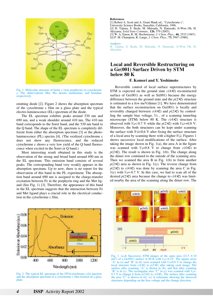

Fig. 1. Molecular structure of heme c (iron porphyrin) in cytochrome c. The abbreviations Met, His denote methionine, and histidine respectively.

emitting diode [2]. Figure 2 shows the absorption spectrum of the cytochrome c film on a glass plate and the typical electro-luminescence (EL) spectrum of the diode.

The EL spectrum exhibits peaks around 530 nm and 690 nm, and a weak shoulder around 410 nm. The 410 nm band corresponds to the Soret band, and the 530 nm band to the Q band. The shape of the EL spectrum is completely different from either the absorption spectrum [3] or the photoluminescence (PL) spectra [4]. (The oxidized cytochrome c does not show any fluorescence, and the reduced cytochrome c shows a very low yield of the Q band fluorescence when excited in the Soret or Q band.)

Most interesting result obtained in this study is the observation of the strong and broad band around 690 nm in the EL spectrum. This emission band consists of several peaks. The corresponding band very weakly appears in the absorption spectrum. Up to now, there is no report for the observation of this band in the PL experiment. The absorption band around 690 nm is assigned to the charge-transfer excitation between Fe in the porphyrin ring and the Met ligand (See Fig. 1) [3]. Therefore, the appearance of this band in the EL spectrum suggests that the interaction between Fe and Met ligand plays a crucial role in the electrical conduction in the cytochrome c film.



Fig. 2. The typical EL spectrum of the ITO/cytochrome c/Al junction and the absorption spectrum of a cytochrome c film formed on a glass plate.

#### **References**

[1] Robert A. Scott and A. Grant Mauk ed., "Cytochrome c",

University Science Books, Sausalito, California, 1996.

- [2] H. Tajima, S. Ikeda, M. Matsuda, N. Hanasaki, Ji-Won Oh, H. Akiyama, *Solid State Commun.,* **126**, 579 (2003).
- [3] W. A. Eaton, R. M. Hochstrasser, *J. Chem. Phys*., **46**, 2533 (1967).
- [4] P. M. Champion, R. Lange, *J. Chem. Phys*., **73**, 5947 (1980).

**Authors** 

H. Tajima, S. Ikeda, M. Matsuda, N. Hanasaki, Ji-Won Oh, H. Akiyama

## **Local and Reversible Restructuring on a Ge(001) Surface Driven by STM below 80 K**

## **F. Komori and Y. Yoshimoto**

Reversible control of local surface superstructures by STM is expected on the ground state  $c(4\times2)$  reconstructed surface of  $Ge(001)$  as well as  $Si(001)$  because the energy difference between the ground state and the  $p(2\times2)$  structure is estimated to a few meV/dimer [1]. We have demonstrated that the surface reconstruction on Ge(001) is locally and reversibly changed between  $c(4\times2)$  and  $p(2\times2)$  by controlling the sample bias voltage,  $V_b$ , of a scanning tunneling microscope (STM) below 80 K. The *c*(4×2) structure is observed with  $V_b \leq 0.7$  V while the  $p(2\times2)$  with  $V_b \geq 0.8$  V. Moreover, the both structures can be kept under scanning the surface with  $|V_b|$ <0.6 V after fixing the surface structure of a local area by scanning there with a higher  $|V_b|$ . Figures 1 shows successive local modifications of the surface. After taking the image shown in Fig.  $1(a)$ , the area A in the figure was scanned with  $V_b=0.8$  V to change from  $c(4\times2)$  to  $p(2\times2)$ . The result is shown in Fig. 1(b). The change along the dimer row continued to the outside of the scanning area. Then we scanned the area B in Fig. 1(b) to form another  $p(2\times2)$  area as shown in Fig. 1(c). The reverse change from  $p(2\times2)$  to  $c(4\times2)$  was done by scanning the area C in Fig. 1(c) with  $V_b$ =-0.7 V. In this case, we had to scan all of the desired  $p(2\times2)$  area because the change to  $c(4\times2)$  was limited nearby the area of the scanning along the dimer row. The



Fig. 1. (a-d) Successive STM images of the same area  $(22.5 \times 10$  $nm^2$ ) of a Ge(001) surface at 80 K with  $V_b$ =-0.2V. The square areas "A" in (a) and "B" in (b) were scanned with  $V_b=0.8$  V to change the local structure from  $c(4\times2)$  to  $p(2\times2)$  after taking each image. The surface after scanning "A" is shown in (b), and that after scanning "B" is in (c). The rectangular area "C" in (c) was scanned with  $V_b$ = 0.7 V to change it from  $p(2\times2)$  to  $c(4\times2)$ . The surface after scanning the area "C" is shown in (d). (e) A schematic showing the observed structures depending on the bias voltage and the change direction.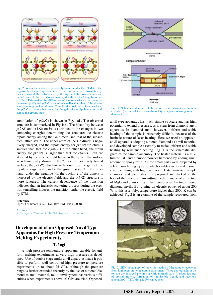

Fig. 2. When the surface is positively biased under the STM tip, the negatively charged upper-atoms of the dimers are electro-statically pushed toward the subsurface by the tip, and the lower-atoms are pulled toward the tip. Consequently, the dimer buckling becomes smaller. This makes the difference of the subsurface strain energy between  $c(4\times2)$  and  $p(2\times2)$  structures smaller than that of the dipole energy among buckled dimers. Thus for the positively biased surface, the  $p(2\times2)$  structure is favored by the gain of the dipole energy, and can be the ground state.

annihilation of  $p(2\times2)$  is shown in Fig. 1(d). The observed structure is summarized in Fig.1(e). The bistability between  $p(2\times2)$  and  $c(4\times2)$  on  $V_b$  is attributed to the changes in two competing energies determining the structure; the electric dipole energy among the Ge dimers, and that of the subsurface lattice strain. The upper atom of the Ge dimer is negatively charged, and the dipole energy for  $p(2\times2)$  structure is smaller than that for  $c(4\times2)$ . On the other hand, the strain energy for  $p(2\times2)$  is larger than that for  $c(4\times2)$ . Both are affected by the electric field between the tip and the surface as schematically shown in Fig.2. For the positively biased surface, the  $p(2\times2)$  structure is favoured by the gain of the dipole energy, and can be the ground state. On the other hand, under the negative  $V_b$ , the buckling of the dimers is increased by the electric field, and the  $c(4\times2)$  structure is more favoured. The current dependence of the transition indicates that an inelastic scattering process during the electron tunnelling induces the transition under the electric field by STM.

#### **Reference**

[1] Y. Yoshimoto *et al*., Phys. Rev. B**61**, 1965 (2000).

**Authors** Y. Takagi, Y. Yoshimoto, K. Nakatsuji and F. Komori

## **Development of an Opposed-Anvil Type Apparatus for High Pressure-Temperature Melting Experiments**

## **T. Yagi**

A high pressure-temperature apparatus capable for uniform melting experiments at very high pressures is developed. Use of double stage multi-anvil apparatus made it possible to perform well controlled high pressure-temperature experiments up to about 25 GPa. Although the pressure range is further extended recently by the use of sintered diamond as anvil material, multi-anvil system has various difficulties when experiments above 40 GPa are tried. Opposed-



Fig. 1. Schematic diagram of the whole view (above) and sample chamber (below) of the opposed-anvil type apparatus using sintered diamond.

anvil type apparatus has much simple structure and has high potential to extend pressures, as is clear from diamond-anvil apparatus. In diamond anvil, however, uniform and stable heating of the sample is extremely difficult, because of the intrinsic nature of laser heating. Here we used an opposedanvil apparatus adopting sintered diamond as anvil material, and developed sample assembly to make uniform and stable heating by resistance heating. Fig. 1 is the schematic diagram of the sample assembly. The heater material is a mixture of TiC and diamond powder hardened by adding small amount of epoxy resin. All the small parts were prepared by a laser machining system, which enables us to make small size machining with high precision. Heater material, sample chamber, and electrodes thus prepared are stacked in the hole of the pressure transmitting medium made of a mixture of MgO and diamond, and then compressed by two sintered diamond anvils. By running an electric power of about 200 W to this assembly, temperature higher than 2000 K can be achieved. Fig.2 is an example of the sample recovered from



Fig. 2. SEM photograph of the cross section of the sample recovered from high pressure-temperature experiment. Three photographs at the top are the enlarged pictures of various small parts. Various features of crystal growth, formation of immiscible liquid, and reactions among ZrO2, TiC, Mo, and Re can be seen.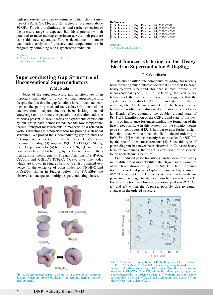high pressure-temperature experiments, which show a mixture of TiC, ZrO2, Mo, and Re, melted at pressures above 30 GPa. This is a preliminary test and further extension of the pressure range is expected but this figure show high potential to make melting experiment at very high pressure using this new apparatus. Further development to make quantitative analysis of pressure and temperature are in progress by combining with a synchrotron radiation.

**Authors** T. Yagi, H. Goto, D. Rubie<sup>a</sup>, and D. Frost<sup>a</sup> aUniversity of Bayreuth

## **Superconducting Gap Structure of Unconventional Superconductors**

## **Y. Matsuda**

Nodes of the superconducting gap functions are often important hallmarks for unconventional superconductors. Despite the fact that the gap functions have immediate bearings on the pairing mechanism, we have for most of the unconventional superconductors been lacking detailed knowledge on its structure, especially the direction and type of nodes present. A recent series of experiments carried out by our group have demonstrated that the low temperature thermal transport measurements in magnetic field rotated in various directions is a powerful tool for probing such nodal structures. We proved the superconducting gap structures of 2D superconductors  $(1)$  spin triplet Sr<sub>2</sub>RuO<sub>4</sub>,  $(2)$  heavy fermion CeCoIn5, (3) organic  $\kappa$ -(BEDT-TTF)2Cu(NCS)2, the 3D superconductor (4) borocarbide  $YNi<sub>2</sub>B<sub>2</sub>C$  and (5) the new heavy fermion  $Pros_4Sb_{12}$ , by the low temperature thermal transport measurements. The gap functions of  $Sr<sub>2</sub>RuO<sub>4</sub>$ , CeCoIn<sub>5</sub> and  $\kappa$ -(BEDT-TTF)<sub>2</sub>Cu(NCS)<sub>2</sub>, have line nodes which are shown in Figures below. We also obtained evidence for the existence of point nodes for YNi2B<sub>2</sub>C and  $Pros<sub>4</sub>Sb<sub>12</sub>$  shown in Figures below. For  $Pros<sub>4</sub>Sb<sub>12</sub>$  we observed an unexpected multiple superconducting phases.



Fig. 1. Superconducting gap structure of unconventional superconductors, which are proved by the low temperature thermal transport measurements.

**References**

- [1] K. Izawa *et al*., Phys. Rev. Lett. **86**, 2653 (2001).
- [2] K. Izawa *et al*., Phys. Rev. Lett. **84**, 057002 (2001).
- [3] K. Izawa *et al*., Phys. Rev. Lett. **88**, 027002 (2002).
- [4] K. Izawa *et al*., Phys. Rev. Lett. **89**, 137006 (2002). [5] K. Izawa *et al*., Phys. Rev. Lett. **90**, 117001 (2003).
- 

**Authors** Y. Matsuda and K. Izawa

## **Field-Induced Ordering in the Heavy-Electron Superconductor PrOs4Sb12**

### **T. Sakakibara**

The cubic skutterudite compound  $Pros<sub>4</sub>Sb<sub>12</sub>$  has recently been attracting much interest because it is the first Pr-based heavy-electron superconductor that is most probably of unconventional type  $[1,2]$ . In PrOs<sub>4</sub>Sb<sub>12</sub>, the Van Vleck behavior of the magnetic susceptibility suggests that the crystalline-electrical-field (CEF) ground state is either a non-magnetic doublet or a singlet [3]. The heavy electron behavior has often been discussed in relation to a quadrupolar Kondo effect assuming the doublet ground state of  $Pr<sup>3+</sup>[1,3]$ . Identification of the CEF ground state of this system is of importance for understanding the formation of the heavy-electron state in this system, but the situation seems to be still controversial [3,4]. In order to gain further insight into this issue, we examined the field-induced ordering in PrOs4Sb12 [5] which has recently been revealed for *H*||[100] by the specific heat measurements [4]. Since this type of phase diagram has never been observed in Ce-based heavy fermion compounds, the origin is considered to be specific to the 4*f* electronic state of  $Pr<sup>3+</sup>$ .

Field-induced phase transitions can be seen most clearly in the differential susceptibility data *dM*/*dH*, some examples of which are shown in Fig. 1 for *H*||[110]. Here the transition to the ordered phase (A-phase) is marked by a jump in *dM*/*dH* at ~50 kOe (thick arrows). A transition from the Aphase to a paramagnetic state can also be seen at ~110 kOe. For this direction, we observed additional peaks in *dM*/*dH* at  $H_1$  and  $H_2$  within the A-phase, possibly due to certain changes in the ordered structure.



Fig. 1. Differential susceptibility of PrOs<sub>4</sub>Sb<sub>12</sub> for *H*||[110], obtained at  $T = 0.06$  K $\sim 0.68$  K. The field-induced ordering is marked by a jump in *dM*/*dH* as shown by thick arrows. Two distinct peaks are observed in *dM*/*dH* at *H*1 and *H*2 within the ordered phase, suggesting some changes in the ordered structure. The sharp structures below *H*c2 are due to the peak effect. Small oscillations seen above 8 T are the de Haas-van Alphen effect.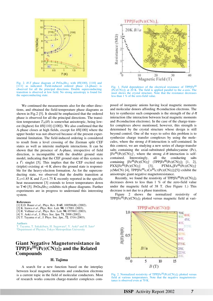

Fig. 2. *H-T* phase diagram of PrOs<sub>4</sub>Sb<sub>12</sub> with *H*||[100], [110] and [111] as indicated. Field-induced ordered phase (A-phase) is observed for all the principal directions. Double superconducting transition is observed at low field. No strong anisotropy is found for the superconducting state.

We continued the measurements also for the other directions, and obtained the field-temperature phase diagrams as shown in Fig.2 [5]. It should be emphasized that the ordered phase is observed for all the principal directions. The transition temperature  $T_A(H)$  is somewhat anisotropic, being lowest (highest) for *H*||[110] ([100]). We also confirmed that the A-phase closes at high fields, except for *H*||[100] where the upper border was not observed because of the present experimental limitation. The field-induced ordering is considered to result from a level crossing of the Zeeman split CEF states as well as intersite multipole interactions. It can be shown that the presence of A-phase, irrespective of field direction, is incompatible with the doublet ground state model, indicating that the CEF ground state of this system is a  $\Gamma_1$  singlet [5]. This implies that the CEF excited state (triplet) existing at  $~6$  K above the ground state is responsible for the heavy-electron formation. As for the superconducting state, we observed that the double transition at  $T_{c1}=1.85$  K and  $T_{c2}=1.75$  K recently reported in the specific heat measurement [3] extends to lower temperatures down to T≈0 [5]. PrOs4Sb12 exhibits rich phase diagrams. Further experiments are in progress to understand this interesting system.

#### **References**

- [1] E.D. Bauer *et al*., Phys. Rev. B **65**, 100506(R) (2002).
- [2] K. Izawa *et al*., Phys. Rev. Lett. **90**, 117001 (2003).
- [3] R. Vollmer *et al*., Phys. Rev. Lett. **90**, 057001 (2003).
- [4] Y. Aoki *et al*., J. Phys. Soc. Jpn. **71**, 2098 (2002).
- [5] T. Tayama *et al*., J. Phys. Soc. Jpn., **72**, 1516 (2003).

#### **Authors**

. Tayama, T. Sakakibara, H. Sugawara<sup>a</sup>, Y. Aoki<sup>a</sup> and H. Sato<sup>a</sup> aDepartment of Physics, Tokyo Metropolitan University

## **Giant Negative Magnetoresistance in TPP[FeIII(Pc)(CN)2]2 and the Related Compounds**

## **H. Tajima**

A search for a new function based on the interplay between local magnetic moments and conduction electrons is a current topic in the field of molecular conductors. Most of research works concern charge-transfer complexes com-



Fig. 1. Field dependence of the electrical resistance of TPP[Fe<sup>III</sup> (Pc)(CN)2]2 at 20 K. The field is applied parallel to the *a*-axis. The inset shows the crystal structure. Note that the resistance decreases less than 1 % of the zero-field value.

posed of inorganic anions having local magnetic moments and molecular donors affording  $\pi$ -conduction electrons. The key to synthesize such compounds is the strength of the  $d-\pi$ interaction (the interaction between local magnetic moments and  $\pi$ -conduction electrons). In the case of the charge-transfer complexes above mentioned, however, this strength is determined by the crystal structure whose design is still beyond control. One of the ways to solve this problem is to synthesize charge transfer complexes by using the molecules, where the strong  $d-\pi$  interaction is self-contained. In this context, we are studying a new series of charge-transfer salts containing the axial-substituted phthalocyanine (Pc),  $[Fe^{III}(Pc)(CN)_2]$ , where the strong  $d-\pi$  interaction is selfcontained. Interestingly, all the conducting salts containing  $[Fe^{III}(Pc)(CN)_2]$ <sup>-</sup>  $(TPP[Fe^{III}(Pc)(CN)_2]_2$  [1, 2],  $PXX[Fe^{III}(Pc)(CN)_2]$  [3],  $PTMA_x[Fe^{III}(Pc)(CN)_2]$ y(MeCN) [4], TPP[Fe<sup>III</sup><sub>0.3</sub>Co<sup>III</sup><sub>0.7</sub>(Pc)(CN)<sub>2</sub>]<sub>2</sub>[5]) exhibit the anisotropic giant negative magnetoresistance.

Recently, we found the resistivity of  $TPP[Fe^{III}(Pc)(CN)_2]_2$ decreases down to less than 1 % of the zero-field value under the magnetic field of 38 T. (See Figure 1.) This decrease is not due to a phase transition.

Figure 2 shows the normalized resistivity of TPP[Fe<sup>III</sup>(Pc)(CN)<sub>2</sub>]<sub>2</sub> plotted versus magnetic field at vari-



Fig. 2. Normalized resistivity of TPP[Fe<sup>III</sup>(Pc)(CN)<sub>2</sub>]<sub>2</sub> plotted versus field at various temperatures. Note that the negative magnetoresistance is observed even at 70 K.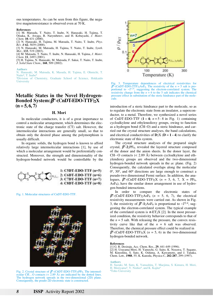ous temperatures. As can be seen from this figure, the negative magnetoresistance is observed even at 70 K.

#### **References**

- [1] M. Matsuda, T. Naito, T. Inabe, N. Hanasaki, H. Tajima, T. Otsuka, K. Awaga, B. Narymbetov, and H. Kobayashi, *J. Mater. Chem*. **10**, 631 (2000).
- [2] N. Hanasaki, H. Tajima, M. Matsuda, T. Naito, T. Inabe, *Phys. Rev. B* **62**, 5839 (2000).
- [3] N. Hanasaki, M. Matsuda, H. Tajima, T. Naito, T. Inabe, *Synth. Met*., **133**, 519 (2003).
- [4] M. Matsuda, T. Naito, T. Inabe, N. Hanasaki, H. Tajima, *J. Mater. Chem*. **11**, 2493 (2001).
- [5] H. Tajima, N. Hanasaki, M. Matsuda, F. Sakai, T. Naito, T. Inabe, *J. Solid State Chem*., **168**, 509 (2002).

#### **Authors**

N. Hanasaki, M. Matsuda, K. Masuda, H. Tajima, E. Ohmichi, T. Naito<sup>a</sup>, T. Inabe<sup>a</sup>

<sup>a</sup>Division of Chemistry, Graduate School of Science, Hokkaido **University** 

## **Metallic States in the Novel Hydrogen-Bonded System:**β**"-(CnDT-EDO-TTF)2X**  $(n = 5, 6, 7)$

#### **H. Mori**

In molecular conductors, it is of a great importance to control a molecular arrangement, which determines the electronic state of the charge transfer (CT) salt. However, the intermolecular interactions are generally small, so that to obtain only the desired phase among the polymorphism is usually difficult.

In organic solids, the hydrogen bond is known to afford relatively large intermolecular interactions [1], by use of which a molecular arrangement would be preferentially constructed. Moreover, the strength and dimensionality of the hydrogen-bonded network would be controllable by the



Fig. 1. Molecular structures of CnDT-EDO-TTF.



Fig. 2. Crystal structure of  $\beta$ "-(C6DT-EDO-TTF)<sub>2</sub>PF<sub>6</sub>. The intermolecular CH…O contacts (< 2.89 Å) are indicated by the dotted lines. The hydrogen network spreads in the two-dimensional (2D) plane. Consequently, the peudo-2D electronic state is constructed.



Fig. 3. Temperature dependences of electrical resistivities for  $β''$ -(CnDT-EDO-TTF)<sub>2</sub>AsF<sub>6</sub>. The resistivity of the *n* = 5 salt is pro-<br>portional to  $~\sim T^{2.4}$ , suggesting the electron-correlated system. The resistivity change from the  $n = 6$  to the 5 salt indicates the chemical pressure effect in substitution of the steric hindrance part of the molecule.

introduction of a steric hindrance part to the molecule, so as to regulate the electronic state from an insulator, a superconductor, to a metal. Therefore, we synthesized a novel series of CnDT-EDO-TTF  $(1 - 4; n = 5 - 8$  in Fig. 1) containing cycloalkylene and ethylenedioxy groups, owing to function as a hydrogen bond (CH··O) and a steric hindrance, and carried out the crystal structure analyses, the band calculations, and electrical conductivities of  $D_2X$  ( $D = 1 - 4$ ) to clarify the electronic state of this system.

The crystal structure analyses of the prepared single crystal,  $\beta$ <sup>"</sup>-2<sub>2</sub>PF<sub>6</sub>, revealed the layered structure composed of the donor and the anion sheets. In the donor layer, the CH $\cdots$ O contacts (< 2.89 Å) between cycloalkylene and ethylendioxy groups are observed and the two-dimensional hydrogen-bonded network spreads in the *ac* plane. (Fig. 2) Consequently, the calculated overlaps along the molecular  $0^\circ$ ,  $30^\circ$ , and  $60^\circ$  directions are large enough to construct a pseudo-two dimensional Fermi surface. In addition, the analogues,  $β''$ -(CnDT-EDO-TTF)<sub>2</sub>X (*n* = 5, 6, 7, X = PF<sub>6</sub>,  $AsF<sub>6</sub>$ ), have the similar donor arrangement in use of hydrogen-bonded interactions.

In order to compare the electronic states of  $\beta$ "-(CnDT-EDO-TTF)<sub>2</sub>AsF<sub>6</sub> ( $n = 5, 6, 7$ ), the electrical resistivity measurements were carried out. As shown in Fig. 3, the resistivity of  $\beta$ "-**1**<sub>2</sub>AsF<sub>6</sub> is proportional to ~ $T^{2.4}$ , suggesting the electron-correlated system. The typical example of the correlated system is  $\kappa$ -ET<sub>2</sub>X [2]. In the most pressurized condition, the resistivity behavior corresponds to that of the  $n = 5$  salt. With releasing the pressure, the convex resistivity curve like that of the  $n = 6$  salt was observed. Therefore, the chemical pressure effect could be realized in  $\beta$ "-(CnDT-EDO-TTF)<sub>2</sub>X (*n* = 5, 6) in the two-dimensional hydrogen-bonded network.

#### **References**

- [1] G. R. Desiraju, Acc. Chem. Res., **29**, 441-449 (1996).
- [2] H. Urayama-Mori, H. Yamochi, G. Saito, K. Nozawa, T. Sugano, M. Kinoshita, S. Sato, K. Oshima, A. Kawamoto, and J. Tanaka, Chem. Lett., **1988**, 55; K. Kanoda, Physica C, **282-287**, 299 (1997).

#### **Authors**

H. Suzuki, M. Suto, K. Yamashita, T. Maejima, S. Kimura, H. Mori, H. Moriyama<sup>a</sup>, Y. Nishio<sup>a</sup>, and K. Kajita<sup>a</sup>

aToho University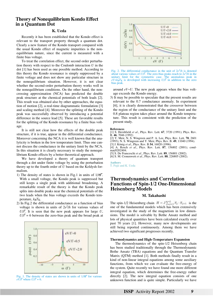## **Theory of Nonequilibrium Kondo Effect in a Quantum Dot**

## **K. Ueda**

Recently it has been established that the Kondo effect is relevant to the transport property through a quantum dot. Clearly a new feature of the Kondo transport compared with the usual Kondo effect of magnetic impurities is the nonequilibrium nature, since the current is measured with a finite bias voltage.

To treat the correlation effect, the second order perturbation theory with respect to the Coulomb interaction *U* in the dot [1] has been used as one possible method. According to this theory the Kondo resonance is simply suppressed by a finite voltage and does not show any particular structure in the nonequilibrium situation. However, it is not clear whether the second-order perturbation theory works well in the nonequilibrium conditions. On the other hand, the noncrossing approximation (NCA) has predicted the double peak structure at the chemical potentials of both leads [2]. This result was obtained also by other approaches, the equation of motion [2], a real-time diagrammatic formulation [3] and scaling method [4]. Moreover the splitting of the Kondo peak was successfully observed by introducing a potential difference in the source lead [5]. These are favorable results for the splitting of the Kondo resonance by a finite bias voltage.

It is still not clear how the effects of the double peak structure, if it is true, appear in the differential conductance. Moreover concerning the NCA it is well known that the analyticity is broken in the low temperature limit. Thus one cannot discuss the conductance in the unitary limit by the NCA. In this situation it is clearly necessary to study the nonequilibrium Kondo effects by a better theoretical approach.

We have developed a theory of quantum transport through a dot under finite voltage by using the perturbation theory up to the fourth order of *U* based on the Keldysh formalism.

- 1) The density of states is shown in Fig.1 in units of  $1/\pi\Gamma$ . With a small voltage, the Kondo peak is suppressed but still keeps a single peak with additional broadening. A remarkable result of the theory is that the Kondo peak splits into double peaks near the chemical potentials of the two leads when the bias voltage exceeds the Kondo temperature,  $k_B T_K$ .
- 2) In Fig.2 the differential conductance as a function of bias voltage is shown in units of  $2e^2/h$  for various values of *U*/Γ. It is seen that the new peak appears for large *U*,  $U/\Gamma$  = 6 between the zero-bias peak and the broad peak at







Fig. 2. The differential conductance in the unit of  $2e^2/h$  is denoted about various values of *U*/Γ. The zero-bias peaks reach to 2*e*2/*h* in the unitary limit for the symmetric case. The anomalous peak in  $eV > k_B T_K$  is developed with increasing  $U/\Gamma$  in addition to the zero bias peak.

around *eV*~*U*. The new peak appears when the bias voltage exceeds the Kondo energy.

3) It may be possible to speculate that the present results are relevant to the 0.7 conductance anomaly. In experiment [6], it is clearly demonstrated that the crossover between the region of the conductance of the unitary limit and the 0.8 plateau region takes place around the Kondo temperature. This result is consistent with the prediction of the present study.

#### **References**

- [1] S. Hershfield *et al*., Phys. Rev. Lett. **67**, 3720 (1991); Phys. Rev. B. **46**, 7046 (1992)
- [2] Y. Meir, N. S. Wingreen and P. A. Lee, Phys. Rev. Lett. **70**, 2601 (1993); N. S. Wingreen and Y. Meir, Phys. Rev. B. **49**, 11040 (1994).
- [3] J. König *et al*., Phys. Rev. B **54**, 16820 (1996).
- [4] A. Rosch *et al*., Phys. Rev. Lett. **87**, 156802 (2001); condmat/0202404.
- [5] S. De Franceschi *et al*., Phys. Rev. Lett. **89**, 156801 (2002).
- [6] S. M. Cronenwett *et al*., Phys. Rev. Lett. **88**, 226805 (2002).

**Authors** T. Fujii and K. Ueda

## **Thermodynamics and Correlation Functions of Spin-1/2 One-Dimensional Heisenberg Models**

### **M. Takahashi**

The spin-1/2 Heisenberg chain  $H = J \sum_{i=1}^{L} S_i \cdot S_{i+1}$  is the one of the fundamental models which has been extensively investigated in the study of the magnetism in low dimensions. The model is solvable by Bethe Ansatz method and lots of physical quantities have been calculated exactly over past 70 years [1]. However, many new developments are still being reported continuously. Among them we have achieved two significant progresses recently.

#### **Thermodynamics and High-Temperature Expansion**

The thermodynamics of the spin-1/2 Heisenberg chain has been studied traditionally through the Thermodynamic Bethe Ansatz (TBA) equations and the Quantum Transfer Matrix (QTM) method [1]. Both methods finally result in a kind of non-linear integral equations among some auxiliary functions, from which we can evaluate the free-energy of the system. Quite recently we have found one more different integral equation, which determines the free-energy rather directly [2]. The new integral equation consists of one unknown function and is quite simple. Particularly we have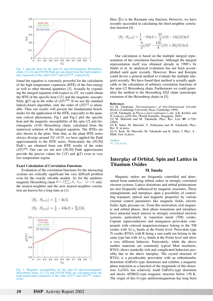

Fig. 1. Specific heat for the spin-1/2 anti-ferromagnetic Heisenberg chain. [12,12] and [50,50] Padé are calculated from the high temperature expansion of the order  $(J/T)^{24}$  and  $(J/T)^{100}$ , respectively.

found the equation is extremely powerful for the calculation of the high temperature expansion (HTE) of the free-energy as well as other thermal quantities [3]. Actually by expanding the integral equation with respect to *J*/*T*, we could obtain the HTE of the specific heat *C*(*T*) and the magnetic susceptibility  $\chi(T)$  up to the order of  $(J/T)^{100}$ . If we use the standard linked-cluster algorithm, only the order of  $(J/T)^{24}$  is attainable. Thus our results will present the fundamental benchmarks for the application of the HTE, especially to the quantum critical phenomena. Fig.1 and Fig.2 plot the specific heat and the magnetic susceptibility of the spin-1/2 anti-ferromagnetic (*J*>0) Heisenberg chain, calculated from the numerical solution of the integral equation. The HTEs are also shown in the plots. Note that, as the plain HTE series always diverge around  $T/J = 0.55$ , we have applied the Padé approximation to the HTE series. Particularly the [50,50] Padé's are obtained from our HTE results of the order (*J*/*T*)100. One can see our new [50,50] Padé approximants provide the precise values for  $C(T)$  and  $\chi(T)$  even in very low temperature region.

#### **Exact Calculation of Correlation Functions**

Evaluation of the correlation functions for the interacting systems are critically significant but very difficult problem even for the exactly solvable models. As for the antiferromagnetic Heisenberg chain  $H = J \sum_{j=1}^{L} S_j \cdot S_{j+1}$  ( $J > 0$ ), only the nearest-neighbor and the next nearest-neighbor correlation are known for a long time as [1]



Fig. 2. Magnetic susceptibility for the spin-1/2 anti-ferromagnetic Heisenberg chain. [12,12] and [50,50] Padé are calculated from the high temperature expansion of the order  $(J/T)^{24}$  and  $(J/T)^{100}$ , respectively.

Here ζ(*s*) is the Riemann zeta function. However, we have recently succeeded in calculating the third neighbor correlation function [4]

$$
\langle S_j \cdot S_{j+3} \rangle = \frac{1}{4} - 9 \ln 2 + \frac{37}{2} \zeta(3) - 14 \zeta(3) \ln 2
$$

$$
- \frac{9}{2} \zeta(3)^2 - \frac{125}{8} \zeta(5) + 25 \zeta(5) \ln 2.
$$

Our calculation is based on the multiple integral representation of the correlation functions. Although the integral representation itself was obtained already in 1990's by Jimbo et al, its analytical evaluation has not been accomplished until quite recently. However, Boos and Korepin could devise a general method to evaluate the multiple integrals recently. We have found their method is actually applicable to the calculation of arbitrary correlation functions of the spin-1/2 Heisenberg chain. Furthermore we could generalize the method to the Heisenberg *XXZ* chain (anisotropic extension of the Heisenberg chain) in [5].

#### **References**

- [1] M. Takahashi, *Thermodynamics of One-Dimensional Solvable Models* (Cambridge University Press, Cambridge 1999).
- [2] M. Takahashi, in *Physics and Combinatrics*, eds. A.K. Kirillov and N. Liskova, p299-304, (World Scientific, Singapore, 2001).
- [3] M. Shiroishi and M. Takahashi, Phys. Rev. Lett. **89** 117201  $(2002)$ .

[4] K. Sakai, M. Shiroishi, Y. Nishiyama and M. Takahashi, Phys. Rev. E. in press.

[5] G. Kato, M. Shiroishi, M. Takahashi and K. Sakai, J. Phys. A : Math. Gen. in press.

**Author** M. Takahashi

## **Interplay of Orbital, Spin and Lattice in Titanium Oxides**

#### **M. Imada**

Magnetic orders are frequently controlled and determined from underlying orbital orders in strongly correlated electron systems. Lattice distortions and orbital polarizations are also frequently influenced by magnetic structures. These entanglements and interplays open a possibility of controlling transport, optical and magnetic properties by various external control parameters like magnetic fields, electric fields, light, pressure etc. From this motivation, rich magnetic and orbital phases, their phase transitions and interplays have attracted much interest in strongly correlated electron systems, particularly in transition metal (TM) oxides. Cuprate superconductors and manganese perovskite compounds with colossal magnetoresistance belong to the TM oxides with 3*d eg* bands at the Fermi level. Perovskite-type Ti oxides  $RTiO<sub>3</sub>$  with R being a rare-earth ion belong to the same type but with  $3d t_{2g}$  bands at the Fermi level and show a very different behavior. Particularly, while the above mother materials are commonly typical Mott insulators, RTiO3 shows markedly rich and complicated behaviors possibly due to the above interplay. The crystal structure of RTiO3 is a pseudocubic perovskite with an orthorhombic distortion (GdFeO3-type distortion) and exhibits a magnetic phase transition as a function of the magnitude of this distortion. LaTiO<sub>3</sub> has relatively small GdFeO<sub>3</sub>-type distortion and shows AFM(G)-type magnetic structure below 130 K. The origin of this G-type antiferromagnetism has long been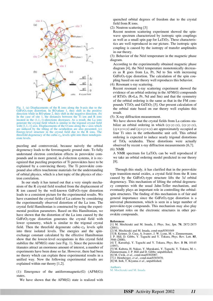

Fig. 1. (a) Displacements of the R ions along the b-axis due to the GdFeO3-type distortion. In RO-plane 1, they shift in the positive direction while in RO-plane 2, they shift in the negative direction. (b) In the case of site 1, the distances between the Ti ion and R ions located in the (1,1,-1)-directions decreases. As a result, the La ions generate the crystal field which is similar to the trigonal crystal field with [1,1,-1] axis. Displacements of the O ions along the *c*-axis which are induced by the tilting of the octahedron are also presented. (c) Energy-level structure in the crystal field due to the R ions. The threefold degeneracy of the cubic-*t2g* levels split into three nondegenerate levels.

puzzling and controversial, because naively the orbital degeneracy leads to the ferromagnetic ground state. To fully understand electron correlation effects in perovskite compounds and in more general, in *d*-electron systems, it is recognized that puzzling properties of Ti perovskites have to be explained by a convincing theory. The Ti perovskite compound also offers touchstone materials for the understanding of orbital physics, which is a hot topic of the physics of electron correlation.

In our study it has turned out that a very simple mechanism of the R crystal field resulted from the displacement of R ion caused by the well-known GdFeO3-type distortion leads to a consistent picture for the experimental results. We have examined the crystal field of La cations by considering the experimentally observed distortion of the La ions. The crystal field Hamiltonian is constructed by using the experimental position parameters. Based on this Hamiltonian, we have shown that the distortion of the La ions caused by the GdFeO3-type distortion generates the crystal field with lower symmetry, which is similar to the trigonal crystal field. Then the threefold degenerate cubic- $t_{2g}$  levels split into three isolated levels. The energies and the spinexchange constant calculated by the effective Hamiltonian show that the lowest-level occupations in this crystal field stabilize the AFM(G) state (see Fig. 1). Since the perovskite titanates attract an enormous amount of interest, a number of experiments have been done so far. However, there had been no theory which can explain these experimental results in a unified way. Now the following experimental results are explained within our theory [1,2].

(1): Emergence of the antiferromagnetic(G) (AFM(G)) states.

We have shown that the AFM(G) state is realized with

quenched orbital degrees of freedom due to the crystal field from R ions.

(2): Neutron scattering [3]

Recent neutron scattering experiment showed the spinwave spectrum characterized by isotropic spin couplings as well as a small spin gap for LaTiO3. These characteristics are well reproduced in our picture. The isotropic spin coupling is caused by the isotropy of transfer amplitudes in our theory.

(3): Behavior of the Néel temperature in the magnetic phase diagram.

According to the experimentally obtained magnetic phase diagram [4], the Néel temperature monotonically decreases as R goes from La, Pr, Nd to Sm with increasing GdFeO3-type distortion. The calculation of the spin coupling based on our theory well reproduces this behavior.

(4): Resonant x-ray scattering.

Recent resonant x-ray scattering experiment showed the evidence of an orbital ordering in the AFM(G) compounds of  $RTiO<sub>3</sub>$  ( $R=La$ ,  $Pr$ ,  $Nd$  and  $Sm$ ) and that the symmetry of the orbital ordering is the same as that in the FM compounds YTiO<sub>3</sub> and GdTiO<sub>3</sub> [5]. Our present calculation of the orbital state based on our theory well explains this result.

(5): X-ray diffraction measurement.

We have shown that the crystal fields from La cations stabilize an orbital ordering in which (*xy-yz-zx*), (*xy-yz-zx*), (*xy+yz+zx*) and (*xy+yz+zx*) are approximately occupied at four Ti sites in the orthorhombic unit cell. This orbital ordering is expected to induce nearly trigonal distortions of TiO6 octahedra. These distortions were actually observed by recent x-ray diffraction measurements [6,7]. (6): NMR

A NMR spectrum for  $LaTiO<sub>3</sub>$  can be well reproduced if we take an orbital ordering model predicted in our theory [8].

Through this study, it has clarified that in the perovskite type transition-metal oxides, a crystal field from the R ions caused by the GdFeO3-type structure lifts the 3*d* orbital degeneracy. This mechanism of lifting the orbital degeneracy competes with the usual Jahn-Teller mechanism, and eventually plays an important role in controlling the orbitalspin structures. The finding of this mechanism is of fair and general importance since the GdFeO3-type distortion is a universal phenomenon, which is seen in a large number of perovskite-type compounds. This mechanism may also play important roles on the electronic structures in other perovskite compounds.

#### **References**

- [1] M. Mochizuki and M. Imada, J. Phys. Soc. Jpn. **70**, 2872-2875  $(2001)$ .
- [2] M. Mochizuki and M. Imada, cond-mat/0301049
- [3] B. Keimer, D. Casa, A. Ivanov, J. W. Lynn, M. v. Zimmermann,
- J. P. Hill, D. Gibbs, Y. Taguchi and Y. Tokura, Phys. Rev. Lett. **85**,

[5] M. Kubota, H. Nakao, Y. Murakami, Y. Taguchi, Y. Tokura, M. v. Zimmermann, J. P. Hill and D. Gibbs: unpublished.

- [6] M. Cwik, *et al*., cond-mat/0302087.
- [7] J. Hemberger, *et al*., cond-mat/0303070.
- [8] M. Itoh, T. Kiyama *et al*., unpublished.

**Authors**

<sup>3946 (2000).</sup>  [4] T. Katsufuji, Y. Taguchi and Y. Tokura, Phys. Rev. B **56**, 10145 (1997).

M. Mochizuki and M. Imada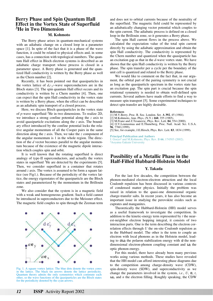## **Berry Phase and Spin Quantum Hall Effect in the Vortex State of Superfluid 3He in Two Dimension**

## **M. Kohmoto**

The Berry phase arises in quantum-mechanical systems with an adiabatic change on a closed loop in a parameter space [1]. In spite of the fact that it is a phase of the wave function, it could be related to physical effects and, in some cases, has a connection with topological numbers. The quantum Hall effect in Bloch electron systems is described as an adiabatic charge transport whose process is closed in a parameter space. A Berry phase is generated and the quantized Hall conductivity is written by the Berry phase as well as the Chern number [2].

Recently, it has been pointed out that quasiparticles in the vortex lattice of  $d_{x^2-y^2}$ -wave superconductors are in the Bloch states [3]. The spin quantum Hall effect occurs and its conductivity is written by a Chern number [4]. Then, one can expect that the spin Hall conductivity in the vortex state is written by a Berry phase, when the effect can be described as an adiabatic spin transport of a closed process.

Here, we discuss Bloch quasiparticles in the vortex state of *p*-wave superfluid 3He in two dimensions. To realize 2D, we introduce a strong confine potential along the *z* axis to avoid quasiparticle excitations along the *z* axis. The boundary effect introduced by the confine potential locks the relative angular momentum of all the Cooper pairs in the same direction along the *z* axis. Then, we take the *z* component of the angular momentum is 1 in the whole region. The direction of the *d* vector becomes parallel to the angular momentum because of the existence of the magnetic dipole interaction which couples spin and orbit.

It is well known that the rotating superfluid is direct analogy of type-II superconductors, and actually the vortex states in superfluid  ${}^{3}$ He are detected by the experiments [5]. Then, we consider superfluid in a container that rotates around *z* axis. The vortex is assumed to be form a square lattice (see Fig1.). Because of the periodicity of the vortex lattice, the energy eigenstates of the quasiparticle are the Bloch states and parameterized by the momentum in the Brillouin zone.

We also consider that the system is in a magnetic field with a weak and homogeneous gradient. Such a field cannot be introduced in superconductors due to the Meissner effect. The magnetic field couples to spin through the Zeeman term



Fig. 1. A square vortex lattice. The blue dots denote the vortex cores in the lattice. The black tin arrows denote the lattice periodicity. Quantum theory admits the only symmetries which commute each other, so the wave functions of the quasiparticles are the Bloch states for the periodicity denoted by the cyan arrows.

and does not to orbital currents because of the neutrality of the superfluid. The magnetic field could be represented by an adiabatically changing vector potential which couples to the spin current. The adiabatic process is defined on a closed loop in the Brillouin zone, so it generates a Berry phase.

The spin Hall current flows in the process above. We calculated the expectation value of the total spin current directly by using the adiabatic approximation and obtain the spin Hall conductivity. The conductivity is represented by the Chern number and quantized when the quasiparticle has an excitation gap as that in the *d*-wave vortex state. We have shown that the spin Hall conductivity is written by the Berry phase. The spin transfer per a cycle per the boundary of the unit cell is quantized and related to the Berry phase.

We would like to comment on the fact that, in our argument, the orbital part of the pairing symmetry is not crucial as long as the quasiparticle spectrum in the vortex state has an excitation gap. The spin part is crucial because the spin rotational symmetry is needed to obtain well-defined spin currents. Several authors have made efforts to find a way to measure spin transport [5]. Some experimental techniques to detect spin transfer are highly desirable.

#### **References**

- [1] M.V.Berry, Proc. R. Soc. London. Ser. **A 392**, 45 (1984).
- [2] M.Kohmoto, Ann. Phys. (N.Y.) **160**, 355 (1985).
- [3] M.Franz and Z.Tesanovic, Phys. Rev. Lett. **84**, 554 (2000).
- [4] O.V.Lounasmaa and E.Thuneberg, Proc. Natl. Acad. Sci. U.S.A.
- **96**, 7760 (1999).
- [5] See, for example, J.E.Hirsch, Phys. Rev. Lett. **83**, 1834 (1999).

**Principal Publication and Authors**

J. Goryoa and M.Kohmoto, Phys. Rev. B **66**, 174503 (2002). aAoyama Gakuin University

## **Possibility of a Metallic Phase in the Half-Filled Hubbard-Holstein Model**

#### **Y. Takada**

For the last few decades, the competition between the phonon-mediated electron-electron attraction and the local Coulomb repulsion has been discussed in various contexts of condensed matter physics. Initially the problem was raised in relation to the quasi-one dimensional organic charge-transfer salts. In recent years, it has also become an important issue in studying the perovskite oxides such as cuprates and manganites.

Theoretically the Hubbard-Holstein (HH) model serves as a useful framework to investigate the competition. In addition to the kinetic-energy term represented by *t* the nearest-neighbor electron hopping integral, it consists of two interaction parts. One is the term describing the electron correlation effects through *U* the on-site Coulomb repulsion as in the Hubbard model. The other is the term to couple an electron with local phonons as in the Holstein model, leading to  $\alpha \omega_0$  the polaron stabilization energy with  $\alpha$  the nondimensional electron-phonon coupling constant and  $\omega_0$  the optic phonon energy.

For this model, there have already been many previous works using various methods. These studies have revealed that the HH model can afford interesting phase diagrams due to the competition among charge-density wave (CDW), spin-density wave (SDW), and superconductivity as we change the parameters involved in the system, *i.e.*,  $U$ ,  $\alpha$ ,  $t$ ,  $\omega_0$ , and *n* the electron filling. Roughly speaking, the CDW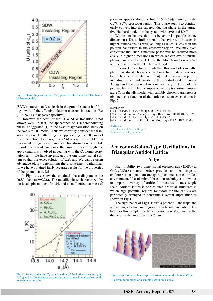

Fig. 1. Phase diagram in the  $(\alpha, U)$  plane for the half-filled Hubbard-Holstein model.

(SDW) nature manifests itself in the ground state at half filling  $(n=1)$ , if the effective electron-electron interaction  $U_{\text{eff}}$  $({\sim U}$ -2 $\alpha \omega_0$ ) is negative (positive).

However, the detail of the CDW-SDW transition is not known well. In fact, the appearance of a superconducting phase is suggested [1] in the exact-diagonalization study on the two-site HH model. Thus we carefully consider the transition region at half-filling by approaching the HH model from the antiadiabatic region ( $t \ll \omega_0$ ) where the variable displacement Lang-Firsov canonical transformation is useful. In order to avoid any error that might enter through the approximations involved in dealing with the Coulomb correlation term, we have investigated the one-dimensional system so that the exact solution of Lieb and Wu can be taken advantage of. By determining the displacement variationally, we have obtained fairly accurate results for the properties of the ground state. [2]

In Fig. 1, we show the obtained phase diagram in the  $(\alpha, U)$  plane at  $t = 0.2 \omega_0$ . The metallic phase characterized by the local spin moment  $L_0 \sim 3/8$  and a small effective mass of



Fig. 2. Superconducting  $T_c$  as a function of the lattice constant  $a_0$  in A<sub>3</sub>C<sub>60</sub> and its dependence on the crystal structure in comparison with experimental results.

polarons appears along the line of  $U=2\alpha\omega_0$ , namely, in the CDW-SDW crossover region. This phase seems to continuously convert into the superconducting phase in the attractive Hubbard model (or the system with  $\alpha = 0$  and  $U < 0$ ).

We do not believe that this behavior is specific to one dimension (1D); a similar metallic behavior will be seen in higher dimensions as well, as long as  $|U_{\text{eff}}|$  is less than the polaron bandwidth in the crossover region. We may even conjecture that such a metallic phase will be realized more easily in higher dimensions in which we can avoid unusual phenomena specific to 1D like the Mott transition at *U*=0 irrespective of *t* in the 1D Hubbard model.

It is not known for sure whether this kind of a metallic phase has already been observed in actual materials or not, but it has been pointed out [3,4] that physical properties including superconductivity in the alkali-doped fullerenes  $A_3C_{60}$  can be reproduced in a unified way in terms of this picture. For example, the superconducting transition temperature  $T_c$  in the HH model with suitably chosen parameters is obtained as a function of the lattice constant  $a_0$  as shown in Fig. 2.

#### **References**

- [1] Y. Takada, J. Phys. Soc. Jpn. **65**, 1544 (1996).
- [2] Y. Takada and A. Chatterjee, Phys. Rev. B **67**, 081102(R) (2003).
- [3] Y. Takada, J. Phys. Soc. Jpn. **65**, 3134 (1996).
- [4] Y. Takada and T. Hotta, Int. J. of Mod. Phys. B **12**, 3042 (1998).

#### **Authors**

Y. Takada and A. Chatterjee<sup>a</sup>

aUniversity of Hyderabad.

## **Aharonov-Bohm-Type Oscillations in Triangular Antidot Lattice**

#### **Y. Iye**

High mobility two-dimensional electron gas (2DEG) at GaAs/AlGaAs heterointerface provides an ideal stage to explore various quantum transport phenomena in controlled environment. Use of microfabrication techniques allows us to prepare a variety of artificial structures in mesoscopic scale. Antidot lattice is one of such artificial structures in which high potential regions (andidot) for the 2DEGs are periodically arranged to constitute a lateral superlattice as shown in Fig.1.

The right panel of Fig.1 shows a potential landscape and a scanning electron micrograph of a triangular antidot lattice. For this sample, the lattice period is *a*=960 nm and the diameter of the antidot is *d*=576 nm.



Fig.1. *Left*: Potential landscape of a triangular antidot lattice. *Right*: Electron micrograph of a sample used in this study.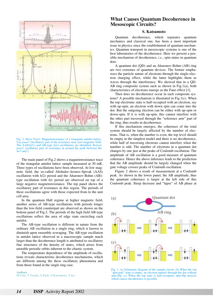

Fig. 2. *Main Panel*: Magnetoresistance of a triangular antidot lattice. *Top panel*: Oscillatory part of the resistance near zero magnetic field. The AAS(*h*/*2e*) and AB-type (*h*/*e*) oscillations are identified. *Bottom panel*: oscillatory part of resistance at around the peak between the  $v=3$  and 2.

The main panel of Fig.2 shows a magnetoresistance trace of the triangular antidot lattice sample measured at 30 mK. Three types of oscillations have been observed. At low magnetic field, the so-called Altshuler-Aronov-Spivak (AAS) oscillation with *h*/*2e* period and the Aharonov-Bohm (AB) type oscillation with *h*/*e* period are observed on top of a large negative magnetoresistance. The top panel shows the oscillatory part of resistance in this region. The periods of these oscillations agree with those expected from to the unit cell area.

In the quantum Hall regime at higher magnetic field, another series of AB-type oscillations with periods longer than the low-field counterpart are observed as shown on the bottom panel of Fig.2. The periods of the high field AB-type oscillations reflect the area of edge state encircling each antidot.

The AB-type oscillation is different in nature from the ordinary AB oscillation in a single ring, which is known to diminish upon ensemble averaging. The AB-type oscillation in antidot lattice observed in a macroscopic sample much larger than the decoherence length is attributed to oscillatory fine structures of the density of states, which arises from unstable periodic orbits inherent to the chaotic system.

The temperature dependence of the amplitude of oscillations reveals characteristic decoherence mechanisms, which are different among the these oscillatory phenomena and from those found in the single ring case.

**Authors** M.Ueki, T.Terada, A.Endo, S.Katsumoto, Y.Iye

## **What Causes Quantum Decoherence in Mesoscopic Circuits?**

### **S. Katsumoto**

Quantum decoherence, which separates quantum mechanics and classical one, has been a most important issue in physics since the establishment of quantum mechanics. Quantum transport in mesoscopic systems is one of the best laboratories of the decoherence. Here we present a possible mechanism of decoherence, *i*.*e*., spin-states in quantum dots.

A quantum dot (QD) and an Aharonov-Bohm (AB) ring are two extremes of quantum devices. The former emphasizes the particle nature of electrons through the single-electron charging effect, while the latter highlights them as waves through the interference. We showed that in a QD-AB ring composite system such as shown in Fig.1(a), both characteristics of electrons emerge as the Fano effect [1].

Then does no decoherence occur in such composite systems? A possible mechanism is illustrated in Fig.1(c). When the top electronic state is half-occupied with an electron, say with up-spin, an electron with down spin can come into the dot. But the outgoing electron can be either with up-spin or down-spin. If it is with up-spin, this cannot interfere with the other part traversed through the "reference arm" part of the ring, thus results in decoherence.

If this mechanism emerges, the coherence of the total system should be largely affected by the number of electrons. That is, when the number is even, the top level should be empty in the simplest model and there is no decoherence, while half of traversing electrons cannot interfere when the number is odd. The number of electrons in a quantum dot changes by one just at the peaks of Coulomb oscillation. The amplitude of AB oscillation is a good measure of quantum coherence. Hence the above inference leads to the prediction that the AB amplitude should be largely changed when the gate voltage crosses peaks of Coulomb oscillation.

Figure 2 shows a result of measurement at a Coulomb peak. As shown in the lower panel, the AB amplitude, thus the quantum coherence is larger at the left side of this Coulomb peak. Steep decrease and "lapse" of AB phase at



Fig. 1. (a) Schematic diagram of the sample circuit. (b) When the top "spin-pair" state is empty, an electron tunnels through the dot without spin-flip. (c) When the top state is half-occupied, spin-flip process which causes decoherence is possible.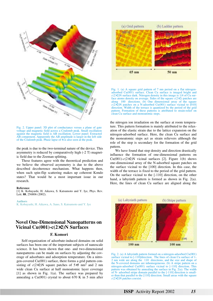

Fig. 2. Upper panel: 3D plot of conductance versus a plane of gate voltage and magnetic field across a Coulomb peak. Small oscillation against the magnetic field is AB oscillation. Lower panel: Extracted AB component. Apparently the AB amplitude is larger in the left side of the Coulomb peak. Phase lapse of  $\pi$  is also seen at the peak.

the peak is due to the two-terminal nature of the device. This asymmetry is reduced by comparatively high (-2 T) magnetic field due to the Zeeman splitting.

These features agree with the theoretical prediction and we believe the observed asymmetry is due to the above described decoherence mechanism. What happens then, when such spin-flip scattering makes up coherent Kondo states? That would be a most important issue in our research.

#### **Reference**

[1] K. Kobayashi, H. Aikawa, S. Katsumoto and Y. Iye, Phys. Rev. Lett. **88**, 256806 (2002).

#### **Authors**

K. Kobayashi, H. Aikawa, A. Sano, S. Katsumoto and Y. Iye

## **Novel One-Dimensional Nanopatterns on Vicinal Cu(001)-c(2**×**2)N Surfaces**

## **F. Komori**

Self-organization of adsorbate-induced domains on solid surfaces has been one of the important subjects of nanoscale science. It has been shown that one- and two-dimensional nanopatterns can be made on surfaces by adjusting the coverage of adsorbates and adsorption temperature. On a nitrogen-covered Cu(001) surface, there forms a grid pattern consisting of  $c(2\times2)$ N square patches of  $5\times5$  nm<sup>2</sup> and 2 nm wide clean Cu surface at half monoatomic layer coverage [1] as shown in Fig. 1(a). The surface was prepared by annealing a  $Cu(001)$  crystal to about 670 K in 5 min after



Fig. 1. (a) A square grid pattern of 7 nm period on a flat nitrogenadsorbed Cu(001) surface. Clean Cu surface is imaged bright and  $c(2\times2)$ N surface dark. Nitrogen density in this image is 1/4 of Cu surface atoms density on average. Sides of the square  $c(2\times2)$  patches are along 〈100〉 directions. (b) One dimensional array of the square  $c(2\times2)$ N patches on a N-adsorbed Cu(001) surface vicinal to [010] direction. Width of the terrace is quantized by the period of the grid pattern. Formation of these patterns is attributed to strain-relief on clean Cu surface and monoatomic steps.

the nitrogen ion irradiation on the surface at room temperature. This pattern formation is mainly attributed to the relaxation of the elastic strain due to the lattice expansion on the nitrogen-adsorbed surface. Here, the clean Cu surface and the monoatomic steps act as strain relievers although the role of the step is secondary for the formation of the grid pattern.

We have found that step density and direction drastically influence the formation of one-dimensional patterns on  $Cu(001)-c(2\times2)N$  vicinal surfaces [2]. Figure 1(b) shows one-dimensional array of the N-adsorbed square patches on the surface vicinal to the [100] direction. In this case, the width of the terrace is fixed to the period of the grid pattern. On the surface vicinal to the [-110] direction, on the other hand, a labyrinth pattern is formed as shown in Fig. 2(a). Here, the lines of clean Cu surface are aligned along the



Fig. 2. (a) A labyrinth pattern formed on a nitrogen-adsorbed Cu(001) surface vicinal to [-110]direction. The lines of clean Cu surface of 1- 2 nm wide are along the  $\langle 110 \rangle$  directions, and the size and shape of the N-covered domains are inhomogeneous. (b) A stripe pattern on a nitrogen-adsorbed Cu(001) surface vicinal to [-110] direction. This pattern was obtained by annealing the surface in Fig. 2(a). The width of N- adsorbed stripe domain parallel to the [-110] direction is smaller than that parallel to the [110] direction. Small areas with the square *c*(2×2)N patches coexist.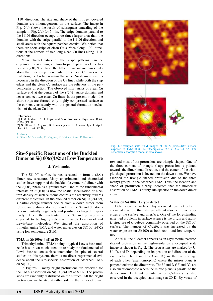〈110〉 direction. The size and shape of the nitrogen-covered domains are inhomogeneous on the surface. The image in Fig. 2(b) shows the result of subsequent annealing of the sample in Fig. 2(a) for 5 min. The stripe domains parallel to the [110] direction occupy three times larger area than the domains with the stripe parallel to the [-110] direction, and small areas with the square patches coexist. We notice that there are short strips of clean Cu surface along  $\langle 100 \rangle$  directions at the corners of two long clean Cu lines along 〈110〉 directions.

Main characteristics of the stripe patterns can be explained by assuming an anisotropic expansion of the lattice at *c*(2×2)N surface; the lattice constant increases only along the direction perpendicular to the clean Cu lines while that along the Cu line remains the same. No strain reliever is necessary in the direction of the Cu lines while both the step edges and the clean Cu surface are the relievers in the perpendicular direction. The observed short strips of clean Cu surface end at the centers of the  $c(2\times2)$  stripe domain, and never connect two clean Cu lines. In the present model, the short strips are formed only highly compressed surface at the corners consistently with the general formation mechanism of the clean Cu lines.

#### **References**

[1] F.M. Leibsle, C.F.J. Flipse and A.W. Robinson, Phys. Rev. B **47**, 15865 (1993). [2] S. Ohno, K. Yagyuu, K. Nakatsuji and F. Komori, Jpn. J. Appl. Phys. **41**, L1243 (2002).

#### **Authors** S. Ohno, M. Yamada, K. Yagyuu, K. Nakatsuji and F. Komori

## **Site-Specific Reactions of the Buckled Dimer on Si(100)c(4**×**2) at Low Temperature**

#### **J. Yoshinobu**

The Si(100) surface is reconstructed to form a  $(2\times1)$ dimer row structure. Many experimental and theoretical studies have supported the buckled (asymmetric) dimer with the  $c(4\times2)$  phase as a ground state. One of the fundamental interests on Si(100) is how the spatial localization of electron density of surface atoms controls the reactivity towards different molecules. In the buckled dimer on Si(100)*c*(4×2), a partial charge transfer occurs from a down dimer atom (Sd) to an up dimer atom (Su) and thus the Su and Sd atoms become partially negatively and positively charged, respectively. Hence, the reactivity of the Su and Sd atoms is expected to be highly selective towards Lewis-acid and Lewis-base molecules. We studied the adsorption of trimethylamine TMA and water molecules on Si(100)*c*(4×2) using low temperature STM.

#### **TMA on Si(100)c(4**×**2) at 80 K**

Trimethylamine (TMA) being a typical Lewis base molecule has drown much attention to study the fundamental of Lewis base-silicon surface interaction. In spite of several studies on this system, there is no direct experimental evidence about the site-specific adsorption of adsorbed TMA on Si(100).

In Figures 1, many bright protrusions are observed for the TMA adsorption on Si(100)*c*(4×2) at 80 K. The protrusions are randomly distributed on the surface. All the bright protrusions are located at either side of the center of dimer



Fig. 1. Occupied state STM images of the Si(100)*c*(4×2) surface exposed to TMA at 80 K.  $V(\text{sample}) = -2.2 \text{ V}, I = 0.1 \text{ nA}.$  The schematic adsorption model is also shown.

row and most of the protrusions are triangle-shaped. One of the three corners of triangle shape protrusion is pointed towards the dimer bond direction, and the center of the triangle-shaped protrusion is located on the down atom. We have ascribed the triangle shaped protrusion due to the three methyl groups in the adsorbed TMA. Thus, the location and shape of protrusion clearly indicates that the molecular adsorption of TMA is purely site-specific on the down dimer atom.

#### **Water on Si(100) : C-type defect**

Defects on the surface play a crucial role not only in chemical reaction, thin film growth but also electronic properties at the surface and interface. One of the long-standing unsettled problems in surface science is the origin and atomic structure of *C*-defects commonly observed on the Si(100) surface. The number of *C*-defects was increased by the water exposure on  $Si(100)$  at both room and low temperature.

At 80 K, the *C*-defect appears as an asymmetric teardrop shaped protrusion in the high-resolution unoccupied state image as shown in Fig. 2. The protrusions are marked by U, U′, D, and D′ depending on its position and direction of the asymmetry. The U and U'  $(D \text{ and } D')$  are the mirror image of each other (enantiomorphic) where the mirror plane is perpendicular to the dimer row. The U and D (U′ and D′) are also enantiomorphic where the mirror plane is parallel to the dimer row. Different orientation of *C*-defects is also observed in the occupied state image at 80 K. By virtue of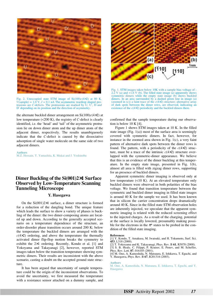

Fig. 2. Unoccupied state STM image of Si(100)*c*(4×2) at 80 K.  $V$ (sample) =  $1.0$  V,  $I = 0.1$  nA The asymmetric teardrop shaped protrusions are *C*-defects. The protrusions are marked by U, U′, D and D′ depending on its position and the direction of asymmetry.

the alternate buckled dimer arrangement on  $Si(100)c(4\times2)$  at low temperature (<200 K), the registry of *C*-defect is clearly identified, i.e. the 'head' and 'tail' of the asymmetric protrusion lie on down dimer atom and the up dimer atom of the adjacent dimer, respectively. The results unambiguously indicate that the *C*-defect is caused by the dissociative adsorption of single water molecule on the same side of two adjacent dimers.

**Authors** M.Z. Hossain, Y. Yamashita, K. Mukai and J. Yoshinobu

## **Dimer Buckling of the Si(001)2**×**1 Surface Observed by Low-Temperature Scanning Tunneling Microscope**

## **Y. Hasegawa**

On the  $Si(001)2\times1$  surface, a dimer structure is formed for a reduction of the dangling bond. The unique feature which leads the surface to show a variety of phases is buckling of the dimer: the two dimer-composing atoms are located up and down. According to the generally accepted scenario on a temperature dependence of the structure, an order-disorder phase transition occurs around 200 K; below the temperature the buckled dimers are arranged with the  $c(4\times2)$  ordering, and above the temperature the thermally activated dimer flip-flop motion breaks the symmetry to exhibit the 2×1 ordering. Recently, Kondo et al. [1] and Yokoyama and Takayanagi [2], however, reported STM images taken below the transition temperature showing symmetric dimers. Their results are inconsistent with the above scenario, casting a doubt on the accepted ground state structure.

It has been argued that uncertainty of sample temperature could be the origin of the inconsistent observations. To avoid the uncertainty, we first measured the temperature with a resistance sensor attached on a dummy sample, and



Fig. 1. STM images taken below 10K with a sample bias voltage of - 2.2 V (a) and  $+1.6$  V (b). The filled state image (a) apparently shows symmetric dimers while the empty state image (b) shows buckled dimers. In an area surrounded by a dashed green line in image (a) (zoomed in (c)) a faint trace of the *c*(4×2) structure; alternative array of dark spots between the dimer rows, are observed, indicating an existence of the *c*(4×2) periodicity and the buckled dimers there.

confirmed that the sample temperature during our observation is below 10 K [4].

Figure 1 shows STM images taken at 10 K. In the filled state image (Fig. 1(a)) most of the surface area is seemingly covered with symmetric dimers. In fact, however, for instance in the zoomed area shown in Fig. 1(c), a very faint pattern of alternative dark spots between the dimer rows is found. The pattern, with a periodicity of the *c*(4×2) structure, must be a trace of the intrinsic  $c(4\times2)$  structure overlapped with the symmetric-dimer appearance. We believe that this is an evidence of the dimer buckling at this temperature. In the empty state image, presented in Fig. 1(b), almost all area is filled with zigzag dimer rows, supporting for an presence of buckled dimers.

Apparent symmetric dimer imaging is observed only at low temperature (<10 K). At an elevated temperature only buckled dimers were observed in both polarities of the bias voltage. We found that transition temperature between the symmetric and buckled dimer imaging in filled state images is around 40 K for the sample we used. It has been known that in silicon the carrier concentration drops dramatically around 40 K. Since in the filled state STM observation holes are inherently injected, we speculate that the apparent symmetric imaging is related with the reduced screening effect to the injected charges. As a result of the charging, potential at the surface is locally lowered, presumably making possible for the electrons in the  $\pi^*$  states to be probed in the condition of the filled state imaging.

#### **References**

- [2] T. Yokoyama and K. Takayanagi, Phys. Rev. B **61**, R5078 (2000).
- [3] S. B. Healy, C. Filippi, P. Kratzer, E. Penev, and M. Scheffer, Phys. Rev. Lett. **87**, 016105 (2001).
- [4] M. Ono, A. Kamoshida, N. Matsuura, E. Ishikawa, T. Eguchi, and Y. Hasegawa, Phys. Rev. B **67**, R201316 (2003).

**Authors**

<sup>[1]</sup> Y. Kondo, T. Amakusa, M. Iwatsuki, and H. Tokumoto, Surf. Sci. **453**, L318 (2000).

M. Ono, A. Kamoshida, N. Matsuura, E. Ishikawa, T. Eguchi, and Y. Hasegawa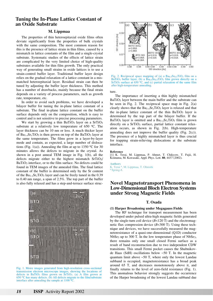## **Tuning the In-Plane Lattice Constant of an Oxide Substrate**

### **M. Lippmaa**

The properties of thin heteroepitaxial oxide films often deviate significantly from the properties of bulk crystals with the same composition. The most common reason for this is the presence of lattice strain in thin films, caused by a mismatch in lattice constants of the film and a single-crystal substrate. Systematic studies of the effects of lattice strain are complicated by the very limited choice of high-quality substrates available for thin film growth. The only practical way of generating small strains in oxide lattices is to use a strain-control buffer layer. Traditional buffer layer design relies on the gradual relaxation of a lattice constant in a mismatched heteroepitaxial layer. Residual strain can then be tuned by adjusting the buffer layer thickness. This method has a number of drawbacks, mainly because the final strain depends on a variety of process parameters, such as growth rate, temperature, etc.

In order to avoid such problems, we have developed a bilayer buffer for tuning the in-plane lattice constant of a substrate. The final in-plane lattice constant on the buffer surface depends only on the composition, which is easy to control and is not sensitive to precise processing parameters.

We start by growing a thin BaTiO<sub>3</sub> layer on a  $SrTiO<sub>3</sub>$ substrate at a relatively low temperature of  $650$  °C. The layer thickness can be 10 nm or less. A much thicker layer of  $Ba_{1-x}Sr_xTiO_3$  is then grown on top of the BaTiO<sub>3</sub> layer at the same temperature. The films grow in a layer-by-layer mode and contain, as expected, a large number of dislocations (Fig. 1(a)). Annealing the film at up to 1350  $\rm{^{\circ}C}$  for 30 minutes allows the defects to migrate in the crystal. As shown in a post anneal TEM image in Fig. 1(b), all the defects migrate either to the highest mismatch SrTiO3/ BaTiO<sub>3</sub> interface, or to the film surface. No defects could be found in TEM images of the annealed film. The final lattice constant of the buffer is determined only by the Sr content of the  $Ba_{1-x}Sr_xTiO_3$  layer and can be freely tuned in the 0.39 to 0.40 nm range, a span of 2.5%. The top part of the buffer is also fully relaxed and has a step-and-terrace surface struc-



Fig. 1. Moire images generated from high-resolution cross-sectional transmission electron microscope images, showing the locations of defects in BaTiO<sub>3</sub> films grown on SrTiO<sub>3</sub>. (a) A film grown at 650 oC has many defects. (b) All defects migrate to the film/substrate interface after annealing the sample at  $1100\,\mathrm{^{\circ}C}$ 



Fig. 2. Reciprocal space mapping of (a) a  $Ba<sub>0.5</sub>Sr<sub>0.5</sub>TiO<sub>3</sub>$  film on a BaTiO<sub>3</sub> buffer layer, (b) a Ba<sub>0.5</sub>Sr<sub>0.5</sub>TiO<sub>3</sub> film grown directly on a SrTiO<sub>3</sub> surface at  $650^{\circ}$ C, and (c) partial relaxation of the same film after high-temperature annealing.

ture.

The importance of inserting a thin highly mismatched BaTiO<sub>3</sub> layer between the main buffer and the substrate can be seen in Fig. 2. The reciprocal space map in Fig.  $2(a)$ clearly shows that the  $Ba_{1-x}Sr_xTiO_3$  layer is relaxed and that the in-plane lattice constant of the thin  $BaTiO<sub>3</sub>$  layer is determined by the top part of the bilayer buffer. If the BaTiO<sub>3</sub> layer is omitted and a  $Ba_{1-x}Sr_xTiO_3$  film is grown directly on a  $SrTiO<sub>3</sub>$  surface, partial lattice constant relaxation occurs, as shown in Fig. 2(b). High-temperature annealing does not improve the buffer quality (Fig. 2(c)). The presence of a highly mismatched layer is thus crucial for trapping strain-relieving dislocations at the substrate interface.

#### **Reference**

[1] K. Terai, M. Lippmaa, P. Ahmet, T. Chikyow, T. Fujii, H. Koinuma, M. Kawasaki, Appl. Phys. Lett. **80**, 4437 (2002).

#### **Authors**

K. Terai <sup>a</sup>, M. Lippmaa, T. Ohnishi <sup>a</sup> Spring-8.

## **Novel Magnetotransport Phenomena in Low-Dimensional Bloch Electron Systems under Strong Magnetic Fields**

#### **T. Osada**

#### **(1) Harper Broadening under Megagauss Fields**

The RF technique for transport measurement has been developed under pulsed ultra-high magnetic fields generated by the single-turn coil device (*B*<120 T) and the electromagnetic flux compression device (*B*<300 T). Using these technique and devices, we have successfully measured the magnetoresistance of a quasi-one-dimensional (Q1D) conductor NbSe<sub>3</sub> up to 300 T. In the low temperature phase of NbSe<sub>3</sub>, there remains only one small closed Fermi surface as a result of band reconstruction due to two independent CDW transitions. This small Fermi pocket causes the Shubnikovde Haas (SdH) oscillations below ~50 T. In the magnetic quantum limit above  $\sim 50$  T, where only the lowest Landau subband is occupied, magnetoresistance has a broad peak around 65 T, and decreases monotonously above it, and finally returns to the level of zero-field resistance (Fig. 1). This anomalous behavior strongly suggests the occurrence of the Harper broadening of the lowest Landau subband due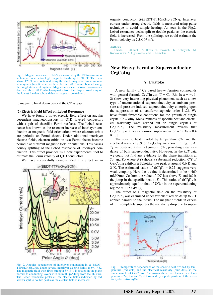

Fig. 1. Magnetoresistance of NbSe3 measured by the RF transmission technique under ultra high magnetic fields up to 300 T. The data above 120 T were obtained using the electromagnetic flux compression system (inset), whereas those below 120 T were obtained using the single-turn coil system. Magnetoresistance shows monotonous decrease above 70 T, which originates from the Harper broadening of the lowest Landau subband due to magnetic breakdown.

to magnetic breakdown beyond the CDW gap.

#### **(2) Electric Field Effect on Lebed Resonance**

We have found a novel electric field effect on angular dependent magnetotransport in Q1D layered conductors with a pair of sheetlike Fermi surfaces. The Lebed resonance has known as the resonant increase of interlayer conduction at magnetic field orientations where electron orbits are periodic on Fermi sheets. Under additional interlayer electric fields, electron orbits on two Fermi sheets become periodic at different magnetic field orientations. This causes doubly splitting of the Lebed resonance of interlayer conduction. This effect provides us a new experimental tool to estimate the Fermi velocity of Q1D conductors.

We have successfully demonstrated this effect in an



2. Angular dependence of interlayer conduction in  $\alpha$ -(BEDT-TTF)2KHg(SCN)4 under several interlayer electric fields at *T*=1.7 K. The magnetic field with fixed strength  $\tilde{B}$ =13 T is rotated in the plane normal to conducting layers with azimuth  $\varphi$ =54deg from the 1D axis. The Lebed resonance peaks at low electric fields indicated by red arrows split to double peaks as the electric field is increased.

organic conductor  $\alpha$ -(BEDT-TTF)<sub>2</sub>KHg(SCN)<sub>4</sub>. Interlayer current under strong electric fields is measured using pulse technique to avoid sample heating. As seen in the Fig.2, Lebed resonance peaks split to double peaks as the electric field is increased. From the splitting, we could estimate the Fermi velocity as  $7.5 \times 10^4$  m/s.

**Authors**

T. Osada, E. Ohmichi, S. Ikeda, T. Inokuchi, K. Kobayashi, M. Kobayakawa, A. Ogasawara, and E. Komatsu

## **New Heavy Fermion Superconductor Ce2CoIn8**

#### **Y. Uwatoko**

A new family of Ce based heavy fermion compounds with general formula  $Ce<sub>n</sub>Th<sub>3n+2</sub>$  (T = Co, Rh, Ir;  $n = \infty$ , 1, 2) show very interesting physical phenomena such as a new type of unconventional superconductivity at ambient pressure and pressure induced superconductivity emerging upon the suppression of an antiferromagnetic order [1,2]. We have found favorable conditions for the growth of single crystal Ce2CoIn8. Measurements of specific heat and electrical resistivity were carried out on single crystals of Ce2CoIn8. The resistivity measurement reveals that Ce<sub>2</sub>CoIn<sub>8</sub> is a heavy fermion superconductor with  $T_c \sim 0.4$ K [3].

The specific heat divided by temperature *C*/*T* and the electrical resistivity  $\rho$  for Ce<sub>2</sub>CoIn<sub>8</sub> are shown in Fig. 1. At *T*c we observed a distinct jump in *C*/*T*, providing clear evidence of bulk superconductivity. However, in the *C*/*T* data we could not find any evidence for the phase transitions at  $T_{a1}$  and  $T_{a2}$  where  $\rho(T)$  shows a substantial reduction. *C*/*T* of Ce2CoIn8 exhibits a Schottky-like peak at around 0.6 K and 2 K. The estimated value of  $\Delta C/\gamma T_c \sim 0.22$  suggests very weak coupling. Here the  $\gamma$  value is determined to be  $\sim 460$ mJ/K<sup>2</sup>mol-Ce from the value of *C*/*T* just above  $T_c$  and  $\Delta C$  is the jump in the specific heat at  $T_c$ . This ratio, of  $\Delta C/\gamma T_c$ , is approximately equal to that of UGe<sub>2</sub> in the superconducting regime at 1.15 GPa [4].

The effect of a magnetic field on the resistivity of Ce2CoIn8 was examined under various fixed fields up to 9 T applied parallel to the *a*-axis. The magnetic fields in excess of 1 T completely suppress the resistivity drop due to super-



Fig. 1. Temperature dependence of the specific heat divided by temperature (red dots) and the electrical resistivity (blue dots) in the same sample of Ce<sub>2</sub>CoIn<sub>8</sub>. The arrows show the characteristic temperatures  $T_{a1}$ ,  $T_{a2}$  and  $T_c$  determined by a peak position of the resistivity derivative *d*ρ/*dT*.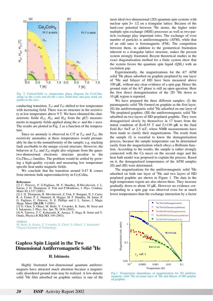

Fig. 2. Critical-field vs. temperature phase diagram for Ce<sub>2</sub>CoIng along (a) the *a*-axis and (b) the *c*-axis. Solid lines and gray mask are guides to the eyes.

conducting transition.  $T_{a1}$  and  $T_{a2}$  shifted to low temperature with increasing field. There was no structure in the resistivity at low temperature above 9 T. We have obtained the characteristic fields  $H_{c2}$ ,  $H_{a1}$  and  $H_{a2}$  from the  $\rho(T)$  measurements in magnetic fields applied along the *a*- and the *c*-axes. The results are plotted in Fig. 2 as a function of the temperature.

Since no anomaly is observed in  $C/T$  at  $T_{a1}$  and  $T_{a2}$ , the resistivity anomalies at these temperatures would presumably be due to the nonuniformity of the sample; e.g. stacking fault ascribable to the unique crystal structure. However, the behavior at  $T_{a1}$  and  $T_{a2}$  might also originate from the quasitwo-dimensional electronic structure peculiar to the  $Ce<sub>n</sub>Th<sub>3n+2</sub>$  families. The problem would be settled by growing a high-quality crystals and measuring low temperature specific heat under magnetic fields.

We conclude that the transition around 0.47 K comes from intrinsic bulk superconductivity in Ce<sub>2</sub>CoIn<sub>8</sub>.

#### **References**

[1] C. Petrovic, P. G.Pagliuso, M. F. Hundley, R.Movshovich, J. L. Sarrao, J. D. Thompson, Z. Fisk and P.Monthoux, J. Phys. Condens. Mater **13**, L337 (2001).

[2] J. D. Thompson, R. Movshovich, Z. Fisk, F. Bouquet, N. J. Curro, R. A. Fisher, P. C. Hammel, H. Hegger, M. F. Hundley, M. Jaime, P. G. Pagliuso, C. Petrovic, N. E. Phillips and J. L. Sarrao, J. Magn. Magn. Mater **226-230**, 5 (2001).

[3] G. Chen, S. Ohara, M. Hedo, Y. Uwatoko, K. Saito, M. Sorai and I. Sakamoto, J. Phys. Soc. Jpn. **71**, 2836 (2002).

[4] N. Tateiwa, T. C. Kobayashi, K. Amaya, Y. Haga, R. Settai and Y. Onuki, Physica B **312-313**, 109 (2002).

#### **Authors**

M. Hedo, N. Kurita, Y. Uwatoko, G. Chen<sup>a</sup>, S. Ohara<sup>a</sup>, I. Sakamoto<sup>a</sup> aNagoya Institute of Technology.

## **Gapless Spin Liquid in the Two Dimensional Antiferromagnetic Solid 3He**

#### **H. Ishimoto**

Highly frustrated low-dimensional quantum antiferromagnets have attracted much attention because a magnetically disordered ground state may be realized. A low-density solid <sup>3</sup>He film adsorbed on graphite surface is one of the most ideal two-dimensional (2D) quantum spin systems with nuclear spin *S*= 1/2 on a triangular lattice. Because of the hard-core potential between  ${}^{3}$ He atoms, the higher order multiple spin exchange (MSE) processes as well as two-particle exchange play important roles. The exchange of even number of particles is antiferromagnetic (AFM), while that of an odd ones is ferromagnetic (FM). The competition between them, in addition to the geometrical frustration inherent to a triangular lattice structure, makes the present system strongly frustrated. Recent theoretical studies in the exact diagonalization method for a finite system show that the system favors the quantum spin liquid (QSL) with an excitation gap.

Experimentally, the magnetizations for the 4/7 AFM solid <sup>3</sup>He phase adsorbed on graphite preplated by one layer of 4He and bilayer of HD have been measured above 100 µK, without any clear evidence of a spin gap. Hence the ground state of the 4/7 phase is still an open question. Here the first direct demagnetization of the 2D  $3$ He down to 10 µK region is reported.

We have prepared the three different samples: (I) the paramagnetic solid <sup>3</sup>He formed on graphite as the first layer, (II) the antiferromagnetic solid  ${}^{3}$ He adsorbed on one layer of  ${}^{4}$ He preplated graphite, (III) the antiferromagnetic solid  ${}^{3}$ He adsorbed on two layers of HD preplated graphite. They were demagnetized slowly by themselves in 17 hours from the initial condition of  $B_i=0.55$  T and  $T_i=150 \mu K$  to the final field  $B_f$ = 5mT or 2.5 mT, where NMR measurements have been made to clarify their magnetization. The result from the sample (I) is essential to know the demagnetization process, because the sample temperature can be determined easily from the magnetization which obeys a Brillouin function. According to the results, the sample is rather strongly connected with the Cu nucei on the second stage and the heat bath model was proposed to explain the process. Based on it, the demagnetized temperatures of the AFM samples (II) and (III) were determined.

The magnetizations for the antiferromagnetic solid  ${}^{3}$ He adsorbed on both one layer of 4He and two layers of HD preplated graphite are shown in Figure 1. The data in the high temperature region are also shown there. They increase gradually down to about  $10 \mu K$ . However no evidence corresponding to a spin gap was observed even for at much lower temperatures than the exchange interaction by a factor



Fig.1. Temperature dependence of magnetization for 2D antiferromagnetic solid <sup>3</sup>He on mono layer of <sup>4</sup>He and bilayer of HD preplated graphite .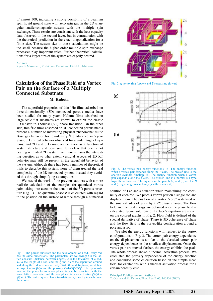of almost 300, indicating a strong possibility of a quantum spin liquid ground state with zero spin gap in the 2D triangular antiferromagnetic system with the multiple spin exchange. These results are consistent with the heat capacity data observed in the second layer, but in contradiction with the theoretical prediction in the exact diagonalization for a finite size. The system size in these calculations might be too small because the higher order multiple spin exchange processes play important roles. Further theoretical calculations for a larger size of the system are eagerly desired.

#### **Authors**

Ryuichi Masutomi , Yoshitomo Karaki and Hidehiko Ishimoto

## **Calculation of the Phase Field of a Vortex Pair on the Surface of a Multiply Connected Substrate**

## **M. Kubota**

The superfluid properties of thin <sup>4</sup>He films adsorbed on three-dimensionally (3D) connected porous media have been studied for many years. Helium films adsorbed on large-scale flat substrates are known to exhibit the classic 2D Kosterlitz-Thouless (KT) phase transition. On the other side, thin 4He films adsorbed on 3D connected porous media present a number of interesting physical phenomena: dilute Bose gas behavior for low-density 4He adsorbed in Vycor glass; 3D critical behavior observed for a wide range of systems; and 2D and 3D crossover behavior as a function of system structure and pore size. It is clear that one is not dealing with ideal 2D system; yet there remains the interesting question as to what extent vestigial aspects of 2D KT behavior may still be present in the superfluid behavior of the system. Although there has been a number of theoretical trials to describe this system, none of them treated the real complexity of the 3D connected system, instead they avoided this through simplifying assumptions.

We extend the work of the previous authors with a more realistic calculation of the energies for quantized vortex pairs taking into account the details of the 3D porous structure (Fig. 1). The quantum phase  $\phi$  is calculated with regard to the position on the surface of lattice through a numerical



Fig. 1. The porous substrate and the development of a rod. Every rod has the same dimensions. The parameters are following: *l* is the lattice constant (distance between nodes), *a* is the thickness of a rod,  $\tilde{a} = l - a$  the length of a rod, and the  $\xi$  and  $\eta$  are the separation around and along the rod axis, respectively. With these definitions, we define an aspect ratio  $\frac{\gamma=1}{a}$  and the porosity  $P=1-(3\gamma-2)/\gamma^3$ . The open volume of the pores forms a complementary cubic structure with the same lattice parameter and the complementary aspect ratio  $\gamma^* = l/\tilde{a}$  =  $\gamma$ /( $\gamma$ -1). The entire system has a translational symmetry in each three directions.



Fig. 2.  $\eta$  vortex ring (upper) and  $\xi$  vortex ring (lower)



Fig. 3. The vortex pair energy functions. (a) The energy function when a vortex pair expands along the  $\eta$  axis. The broken line is the analytic cylinder function. (b) The energy function when a vortex pair expands along the ξ axis. The broken line is a normal KT-type logarithmic function. The squares in the panels (a) and (b) are the  $\eta$ and  $\xi$  ring energy, respectively (see the main text).

solution of Laplace's equation while maintaining the continuity of each rod. We place a vortex pair on a single rod and displace them. The position of a vortex "core" is defined on the smallest sites of grids by a  $2\pi$  phase change. The flow field and the total energy are obtained once the phase field is calculated. Some solutions of Laplace's equation are shown on the colored graphs in Fig. 2. Flow field is defined of the special derivative of phase. There is 3D coherence of phase and the flow field is the vortex-like configuration around a pore and a rod.

We plot the energy functions with respect to the vortex configurations in Fig. 3. The vortex pair energy dependence on the displacement is similar to the classical vortex pair energy dependence in the smallest displacement. Once the vortex pair are moved further, the energy exhibits the peak. The whole process shows a thermal activation process. We calculated the porosity dependence of the energy function and concluded some calculation based on the simple mean field for excitations with a thermal activation process for a certain porosity case.

**Principal Publication and Authors:**

T. Obata and M. Kubota, Phys. Rev.B **66**, 140506 (2002).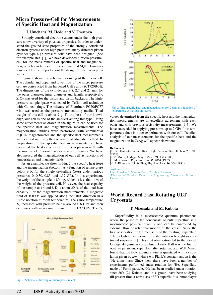## **Micro Pressure-Cell for Measurements of Specific Heat and Magnetization**

### **I. Umehara, M. Hedo and Y. Uwatoko**

Strongly correlated electron systems under the high pressure show a variety of physical properties. In order to understand the ground state properties of the strongly correlated electron systems under high pressures, many different piston cylinder type high pressure cells have been designed. (See for example Ref. [1]) We have developed a micro pressurecell for the measurements of specific heat and magnetization, which can be used in the commercial SQUID magnetometer. Here we report about the design of our micro pressure cell.

Figure 1 shows the schematic drawing of the micro cell. The cylinder and upper and lower nuts of the micro pressure cell are constructed from hardened CuBe alloy (C1720B-H). The dimensions of the cylinder are 8.8, 2.7 and 21 mm for the outer diameter, inner diameter and length, respectively.  $ZrO<sub>2</sub>$  was used for the piston and piston backups. The highpressure sample space was sealed by Teflon cell technique with Cu seal rings. The mixture of Fluorinert FC70:FC77 =1:1 was used as the pressure transmitting media. Total weight of this cell is about 9 g. To the best of our knowledge, our cell is one of the smallest among this type. Using some attachments as drawn in the figure, it can be used for the specific heat and magnetization measurements. The magnetization studies were performed with commercial SQUID magnetometer and the specific heat measurements were carried out using the conventional adiabatic method. In preparation for the specific heat measurements, we have measured the heat capacity of the micro pressure-cell with the mixture of Fluorinert under several pressures. We have also measured the magnetization of our cell as functions of temperatures and magnetic fields.

As an example, we show in Fig. 2 the specific heat (top) and the magnetization (bottom) as a function of temperature below 9 K for the single crystalline CeAg under various pressures, 0, 0.30, 0.83, and 1.37 GPa. In this experiment, the weight of the sample is 80 mg, which is less than 1 % of the weight of the pressure cell. However, the heat capacity of the sample at around 8 K is about 20 % of the total heat capacity. For the magnetization measurements, a magnetic field of 100 Oe was applied along the  $\langle 100 \rangle$  direction in a Cubic notation at room temperature. The Curie temperature *T*<sub>C</sub> increases with pressure below around 0.6 GPa and then decreases with increasing pressure up to  $1.37$  GPa. The  $T<sub>C</sub>$ 



Fig. 1. Schematic drawing of micro pressure cell.



Fig. 2. The specific heat and magnetization for CeAg as a function of temperature at various pressures.

values determined from the specific heat and the magnetization measurements are in excellent agreement with each other and with previous resistivity measurements [3,4]. We have succeeded in applying pressures up to 2 GPa (low temperature value) in other experiments with our cell. Detailed analysis of our measurements for the specific heat and the magnetization in CeAg will appear elsewhere.

#### **References**

- [1] Y. Uwatoko *et al*., Rev. High Pressure Sci. Technol.**7**, 1508  $(1998)$ .
- [2] P. Morin, J. Magn. Magn. Mater. **71**, 151 (1988).
- [3] M. Kurisu, J. Phys. Soc. Jpn. **56**, 4064 (1987).
- [4] A. Elling and J.S. Scilling, Phy. Rev. Lett. **46**, 364 (1981).

**Authors**<br>Izuru Umehara<sup>a</sup>, Masato Hedo, Yoshiya Uwatoko

<sup>a</sup>Division of Physics, Faculty of Engineering, Yokohama National University.

## **World Record Fast Rotating ULT Cryostats**

#### **T. Mizusaki and M. Kubota**

Superfluidity is a macroscopic quantum phenomena where the phase of the condensate or bulk superfluid is a macroscopic physical quantity and can be controlled by external flow or rotational motion of the vessel. Since the first observation of the meniscus of the rotating superfluid <sup>4</sup>He by Osborn, experiments under rotation brought us continued surprises [1]. This first observation led to the idea of Onsager-Feynmann vortex lines. Henry Hall was the first to observe persistent superflow after rotation, and W.F. Vinen found that the flow around a wire is quantized with a circulation given by *h*/*m*, where *h* is Plank's constant and *m* is the 4He atom mass. Since then, there have been a number of experiments performed under rotation for 4He. Superfluid made of Fermi particle, <sup>3</sup>He has been studied under rotation since 80's [2]. Kubota and his group have been studying till present time a new class of 3D superfluid; submonolayer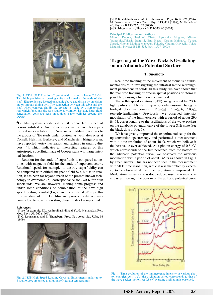

Fig. 1. ISSP ULT Rotation Cryostat with rotating scheme Tok-01. Two high precision air bearing units are located at the ends of the shaft. Electronics are located on a table above and driven by precision motor through timing belt. The connection between this table and the shaft which connects rigidly the cryostat is made by a soft torsion rod, which functions also as a rotational vibration isolator. Earth field cancellation coils are seen on a thick paper cylinder around the Dewar.

4He film systems condensed on 3D connected surface of porous substrates. And some experiments have been performed under rotation [3]. Now we are adding ourselves to the groups of  ${}^{3}$ He study under rotation, as well, after ones at Cornell, Helsinki, Berkeley, and Manchester: Ishiguro *et al*. have reported vortex nucleation and textures in small cylinders [4], which indicates an interesting features of this anisotropic superfluid made of Cooper pairs with large internal freedom.

Rotation for the study of superfluids is compared sometimes with magnetic field for the study of superconductors. Rotational speed, for example, to destroy superfluidity can be compared with critical magnetic field  $H_{c2}$ , but as to rotation, it has been far beyond reach of the present known technology to overcome  $H_{c2}$  correspondance for  $T=0$  K for bulk superfluids. We are, however, making some progress and under some conditions of combination of the new high speed rotating cryostat (Fig.2) and the artificial 3D superfluid consisting of thin He film and porous media we may come close to cover interesting phase fields of a superfluid.

#### **References**

[1] see for example, E.L. Andronikashvili and Yu.G. Mamaladzs, Rev. Mod. Phys. **39**, 567 (1966).

[2] O. Lounasmaa and E. Thuneberg, Proc. Nat. Acad. Sci. USA, 96  $(1999)$ .



Fig. 2. ISSP High Speed Rotating Cryostat. Experiments under up to 6 rotation/sec are tested at dilution refrigerator temperatures.

[3] M.K. Zalalutdinov *et al*., Czechoslovak J. Phys. **46**, S1-39 (1996); M. Fukuda *et al*., J. Low Temp. Phys. **113**, 417 (1998); M. Fukuda *et al*., Physica B **250-252**, 117 (2000). [4] R. Ishiguro *et al*., Physica B **329-333**, 66 (2003).

#### **Principal Publication and Authors**

Minoru Kubota, Toshiaki Obata, Ryousuke Ishiguro, Minoru Yamashita,Takeshi Igarashi, Emi Hayat, Osamu Ishikawa, Yutaka Sasaki, Nikolay Mikhin; Muneyuki Fukuda, Vladimir Kovacik , Takao Mizusaki, Physica B **329-333**, Part 1, 577 (2003).

## **Trajectory of the Wave Packets Oscillating on an Adiabatic Potential Surface**

#### **T. Suemoto**

Real time tracking of the movement of atoms is a fundamental desire in investigating the ultrafast lattice rearrangement phenomena in solids. In this study, we have shown that the real time tracking of precise spatial positions of atoms is possible by using a luminescence method.

The self-trapped excitons (STE) are generated by 20 fs light pulses at 1.6 eV in quasi-one-dimensional halogenbridged platinum complex  $[Pt(en)_2] [Pt(en)_2Br_2](ClO_4)_2$ (en=ethylendiamine). Previously, we observed intensity modulation of the luminescence with a period of about 290 fs [1], corresponding to the oscillations of the wave-packets on the adiabatic potential curve of the lowest STE state (see the black dots in Fig. 1).

We have greatly improved the experimental setup for the up-conversion spectroscopy and performed a measurement with a time resolution of about 40 fs, which we believe is the best value ever achieved. At a photon energy of 0.8 eV, which corresponds to the luminescence from the bottom of the adiabatic potential curve, we observed the overtone modulation with a period of about 145 fs as shown in Fig. 1 by green arrows. This has not been seen in the measurement with 90 fs time resolution, while it was theoretically expected to be observed if the time resolution is improved [1]. Modulation frequency was doubled, because the wave-packet passes thorough the bottom of the adibatic potential curve



Fig. 1. Time evolution of the luminescence intensity at various photon energies. At 1.1 eV, the oscillation period corresponds to that of the wave packet motion. At 0.8 eV overtone oscillation is observed.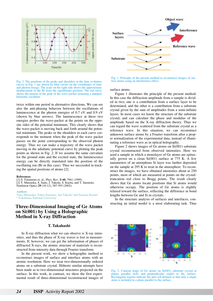

Fig. 2. The positions of the peaks and shoulders in the time evolution curves in Fig. 1 are shown by blue circles on the coordinates of time and photon energy. The scale on the right side shows the approximate displacement of the Br from the equilibrium position. The red curve shows the motion of the peak of the wave packet assuming a damped harmonic oscillator.

twice within one period in alternative directions. We can see also the anti-phasing behavior between the oscillations of luminescence at the photon energies of 0.7 eV and 0.9 eV (shown by blue arrows). The luminescence at these two energies probes the wave-packet at the points on the opposite sides of the potential minimum. This clearly shows that the wave-packet is moving back and forth around the potential minimum. The peaks or the shoulders in each curve corresponds to the moment when the peak of the wave packet passes on the point corresponding to the observed photon energy. Thus we can make a trajectory of the wave packet moving in the adiabatic potential curve by plotting the peak points as shown in Fig. 2. If we assume the same curvature for the ground state and the excited state, the luminescence energy can be directly translated into the position of the oscillating ion (Br in this case). Thus we succeeded in tracking the spatial positions of atoms [2].

#### **References**

[1] S. Tomimoto et. al., Phys. Rev. B **60**, 7961 (1999). [2] T. Matsuoka, S. Saito, J. Takeda, S. Kurita, and T. Suemoto, Nonlinear Optics **29** (10-12), 587-593 (2002).

#### **Authors**

Taira Matsuoka, Tohru Suemoto, Jun Takeda<sup>a</sup> and Susumu Kurita<sup>a</sup> <sup>a</sup> Yokohama National University

## **Three-Dimensional Imaging of Ge Atoms on Si(001) by Using a Holographic Method in X-ray Diffraction**

### **T. Takahashi**

In X-ray diffraction what we can observe is X-ray intensities, and thus the phase of X-ray waves is lost in measurements. If, however, we can get the information of phases of diffracted X-rays, the atomic structure of materials is reconstructed from intensity data through Fourier transform.

In the present work, we show a holographic method to reconstruct images of surface and interface atoms with an atomic resolution. Here we treat two-dimensionally ordered atoms on a substrate crystal. Hitherto similar attempts have been made as to two-dimensional structures projected on the surface. In this work, in contrast, we show the first experimental result of three-dimensional reconstructed images of



Fig. 1. Principle of the present method to reconstruct images of surface atoms using an interference effect.

surface atoms.

Figure 1 illustrates the principle of the present method. In this case the diffraction amplitude from a sample is divided in two; one is a contribution from a surface layer to be determined, and the other is a contribution from a substrate crystal given by the sum of amplitudes from a semi-infinite layers. In most cases we know the structure of the substrate crystal, and can calculate the phase and modulus of the amplitude based on the X-ray diffraction theory. Thus we can regard the wave scattered from the substrate crystal as a reference wave. In this situation, we can reconstruct unknown surface atoms by a Fourier transform after a proper normalization of the experimental data, instead of illuminating a reference wave as in optical holography.

Figure 2 shows images of Ge atoms on Si(001) substrate crystal reconstructed from observed intensities. Here we used a sample in which a monolayer of Ge atoms are epitaxially grown on a clean  $Si(001)$  surface at 775 K. A few nanometers of an amorphous Si layer was further deposited on the sample at 295 K to treat in the atmosphere. To reconstruct the images, we have obtained intensities about at 250 points, most of which are measured at points on the crystaltruncation rod close to Bragg points. The result clearly shows that Ge atoms locate positions that Si atoms would otherwise occupy. The position of Ge atoms is slightly relaxed toward the surface, reflecting the difference in bond lengths between Ge and Si in crystals.

In the structure analysis of surfaces and interfaces, constructing an initial model is a most elaborating task. Thus



Fig. 2. Contour maps of Ge atoms on Si(001) substrate crystal at planes parallel (left) and perpendicular (right) to the surface. Rectangular regions indicate the unit cell defined so that only a single atom is included in a plane parallel to the surface.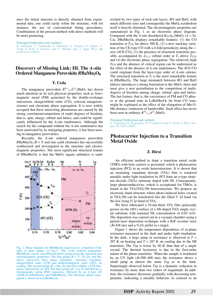once the initial structure is directly obtained from experimental data, one could easily refine the structure, with for instance, the use of conventional fitting procedures. Combination of the present method with direct methods will be more promising.

**Principal Publication and Authors**

K. Sumitani, T. Takahashi, S. Nakatani, A. Nojima, O. Sakata, Y. Yoda, S. Koh, T. Irisawa, and Y. Shiraki; Jpn. J. Appl. Phys. **42**, L189-L191 (2003).

## **Discovery of Missing Link: III. The** *A***-site Ordered Manganese Perovskite** *R***BaMn2O6**

## **Y. Ueda**

The manganese perovskite  $R^{3+}_{1-x}A^{2+}_{x}MnO_3$  has drawn much attention in its rich physical properties such as ferromagnetic metal (FM) generated by the double-exchange interaction, charge/orbital order (CO), colossal mangetoresistence and electronic phase segregation. It is now widely accepted that these interesting phenomena are caused by the strong correlation/competition of multi degrees of freedom, that is, spin, charge, orbital and lattice, and could be significantly influenced by the *A*-site randomness. Although the search for the compound without the *A*-site randomness has been motivated by its intriguing properties, it has been missing in manganese perovskites.

Recently, the *A*-site ordered manganese perovskite  $R$ BaMn<sub>2</sub>O<sub>6</sub> ( $R = Y$  and rare earth elements) has successfully synthesized and investigated in the structure and electromagnetic properties. The most significant structural feature of  $R$ BaMn<sub>2</sub>O<sub>6</sub> is that the MnO<sub>2</sub> square sublattice is sand-



Fig. 1. Phase diagram for *RBaMn<sub>2</sub>O<sub>6</sub>* expressed as a function of the ratio of ionic radius,  $r_R^{3+}/r_{Ba}^{2+}$ . The *A*-site ordered manganites *RBaMn<sub>2</sub>O<sub>6</sub>* can be classified into three groups from the structural and electromagnetic properties. The first group  $(R = Y, Tb, Dy$  and Ho) shows successive three phase transitions, structural transition, charge/orbital order (COI) and antiferromagnetic order (AFI), on cooling. The second group ( $R = \text{Sm}$ , Eu and  $\bar{G}d$ ) exhibits a COI transition, followed by an AFI. The third group  $(R = La, Pr$  and Nd) has a ferromagnetic metal (FM) transition, followed by an *A*-type AF  $(AFM)$  in  $PrBaMn_2O_6$  and  $NdBaMn_2O_6$ . The electronic phase segregation is observed in LaBaMn2O6.

wiched by two types of rock-salt layers, *R*O and BaO, with much different sizes and consequently the  $MnO<sub>6</sub>$  octahedron itself is heavily distorted. The electromagnetic properties are summarized in Fig. 1 as an electronic phase diagram. Compared with the *A*-site disordered  $R_{0.5}A_{0.5}MnO_3$  ( $A = Sr$ , Ca), *RBaMn2O6* displays remarkable features: (1) the CO transition at  $T_{\rm CO}$  far above 300 K, (2) a new stacking variation of the CE-type CO with a 4-fold periodicity along the *c*axis (4CE-CO), (3) the presence of structural transition possibly accompanied by  $d_{x^2-y^2}$  orbital order at  $T_t$  above  $T_{\text{CO}}$ , and (4) the electronic phase segregation. The relatively high  $T_{\rm CO}$  and the absence of critical region can be understood as the effect of the absence of *A*-site randomness. The 4CE-CO could originate from the layer-type order of *A*-site cations. The structural transition at  $T_t$  is the most remarkable feature in *R*BaMn2O6. The large mismatch between *R*O and BaO lattices introduces a strong frustration to the MnO<sub>2</sub> sheet and must give a new perturbation to the competition of multidegrees of freedom among charge, orbital, spin and lattice. The last feature, that is, the coexistence of FM and CO phases as the ground state in LaBaMn<sub>2</sub>O<sub>6</sub> far from CO state, might be explained as the effect of the elongation of Mn-O-Mn distance (reduction of bandwidth). Such effect has never been seen in ordinary  $R^{3+}_{1-x}A^{2+}_{x}MnO_3$ .

**Principal Publication and Authors**

T. Nakajima, H. Kageyama, H. Yoshizawa and Y. Ueda, J. Phys. Soc. Jpn. **71**, 2843 (2002).

## **Photocarrier Injection to a Transition Metal Oxide**

#### **Z. Hiroi**

An efficient method to dope a transition metal oxide (TMO) with hole carriers is presented, which is photocarrier injection (PCI) in an oxide heterostructure. It is shown that an insulating vanadium dioxide  $(VO<sub>2</sub>)$  film is rendered metallic under light irradiation by PCI from an *n*-type titanium dioxide  $(TiO<sub>2</sub>)$  substrate doped with Nb. Consequently, large photoconductivity, which is exceptional for TMOs, is found in the  $VO_2/TiO_2:Nb$  heterostructure. We propose an electronic band structure where photo-induced holes created in TiO2:Nb can be transferred into the filled V 3*d* band via the low-lying O  $2p$  band of VO<sub>2</sub>.

We have fabricated a 10-nm-thick  $VO<sub>2</sub>$  film epitaxially grown on the  $(001)$  surface of a Nb-doped TiO<sub>2</sub> single crystal substrate with nominal Nb concentration of 0.05 wt%. The deposition was carried out in a vacuum chamber using a pulsed laser deposition technique with a KrF excimer laser  $(\lambda=248 \text{ nm})$  and a  $V_2O_3$  pellet as a target.

Figure 1 shows the temperature dependence of in-plane resistance measured in the dark and under light irradiation. In the dark, a large jump in resistance is observed at  $T =$ 297 K on heating and  $T = 287$  K on cooling due to the MI transition: The  $T_{\text{MI}}$  is lower by 40 K than that of a single crystal. The thermal hysteresis is due to the first-order nature of the phase transition. When the sample is irradiated by an UV light  $(\lambda=300-400)$  nm), the resistance shows a small jump at almost the same  $T_{\text{MI}}$  as in the dark. Surprisingly observed below  $T_{\text{MI}}$  is a dramatic reduction in resistance by more than two orders of magnitude. In addition, the resistance decreases gradually with decreasing temperature, indicating a metallic behavior, in contrast to an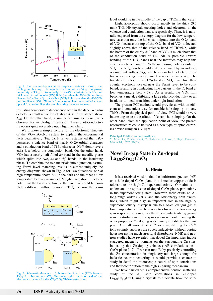

Fig. 1. Temperature dependence of in-plane resistance measured on cooling and heating. The sample is a  $10$ -nm-thick VO<sub>2</sub> film grown on an *n*-type TiO<sub>2</sub>:Nb (nominally 0.05 wt%) substrate with 0.5 mm<br>thickness. An ultraviolet (UV) light (wavelength: 300-400 nm: irra-An ultraviolet (UV) light (wavelength: 300-400 nm; irradiance:  $140 \text{ mWcm}^{-2}$ ) or a visible (VIS) light (wavelength:  $400-700$ nm; irradiance: 350 mWcm<sup>-2</sup>) from a xenon lamp was guided via an optical fiber to irradiate the sample during the measurements.

insulating temperature dependence seen in the dark. We also detected a small reduction of about 4 % in resistance above  $T<sub>MI</sub>$ . On the other hand, a similar but smaller reduction is observed for visible-light irradiation. These photoconductivity occurs quite reversible upon light switching.

We propose a simple picture for the electronic structure of the  $VO<sub>2</sub>/TiO<sub>2</sub>$ :Nb system to explain the experimental facts qualitatively (Fig. 2). It is well established that  $TiO<sub>2</sub>$ possesses a valence band of nearly O 2*p* orbital character and a conduction band of Ti  $3d$  character. Nb<sup>5+</sup> donor levels exist just below the conduction band. On the other hand, VO2 has a nearly half-filled *d*// band in the metallic phase which splits into two,  $d_{\ell}$  and  $d_{\ell}$ <sup>\*</sup> bands, in the insulating phase. To combine the two materials into a junction, assuming Fermi level matching, results in almost uniquely the energy diagrams shown in Fig. 2 for two situations; one at high temperature above  $T_{\text{MI}}$  in the dark and the other at low temperature below  $T_{\text{MI}}$  under UV light irradiation. It is to be noted that the band structure of the junction would be completely different without donors in TiO2, because the Fermi



Fig. 2. Schematic drawings of photocarrier injection (PCI) from a TiO2:Nb substrate to a VO2 film under light irradiation and of the electronic structure for the VO<sub>2</sub>/TiO<sub>2</sub>:Nb heterostructure.

level would lie in the middle of the gap of  $TiO<sub>2</sub>$  in that case.

Light absorption should occur mostly in the thick (0.5 mm) TiO<sub>2</sub>:Nb crystal, creating holes and electrons in the valence and conduction bands, respectively. Then, it is naturally expected from the energy diagram for the low-temperature case that only the holes can migrate into the O 2*p* band of  $VO<sub>2</sub>$ , because the top of the O  $2<sub>p</sub>$  band of  $VO<sub>2</sub>$  is located slightly above that of the valence band of  $TiO<sub>2</sub>:Nb$ , while the bottom of the empty  $d_{\ell}^{*}$  band of VO<sub>2</sub> is much above that of the conduction band of TiO2:Nb. A possible upward bending of the TiO<sub>2</sub> bands near the interface may help this electron-hole separation. With increasing hole density in  $VO<sub>2</sub>$ , the  $VO<sub>2</sub>$  bands should shift downward by an induced open-circuit voltage *V*OC which was in fact detected in our transverse voltage measurement across the interface. The transferred holes in the O  $2p$  band of  $VO<sub>2</sub>$  must find their counter electrons located near the Fermi level to be combined, resulting in conducting hole carriers in the *d*// band at low temperature below *TMI*. As a result, the VO<sub>2</sub> film becomes a metal, exhibiting a large photoconductivity or an insulator-to-metal transition under light irradiation.

The present PCI method would provide us with an efficient and convenient way for tunable hole doping in many TMOs. From the physical point of view, PCI would be very interesting to test the effect of 'clean' hole doping. On the other hand, from the application point of view, the present heterostructure could be used as a new type of optoelectronics device using an UV light.

**Principal Publication and Authors**

Y. Muraoka, T. Yamauchi, Y. Ueda and Z. Hiroi; J. Phys.: Condens. Matter **14**, L757 (2002).

## **Novel In-gap State in Zn-doped La1.85Sr0.15CuO4**

#### **K. Hirota**

It is a received wisdom that the antiferromagnetism (AF) on a hole-doped CuO2 plane in a lamellar copper oxide is relevant to the high  $T_c$  superconductivity. Our aim is to understand the spin state of doped  $CuO<sub>2</sub>$  plane, particularly in the superconducting state. However, there exists no AF long-range order (LRO), and the low-energy spin excitations, which might play an important role in the high *T*c superconductivity, disappear due to a so-called *spin gap* at low temperatures. The best way to observe the low-energy spin response is to suppress the superconductivity by giving some perturbations to the spin system without changing the other properties. Zn doping is extremely suitable for the purpose: A small amount of  $Zn^{2+}$  ions substituting for  $Cu^{2+}$ ions strongly suppress the superconductivity without doping holes nor giving much structural disturbance. NMR and neutron studies have revealed that doped Zn impurities induce staggered magnetic moments on the surrounding Cu sites, indicating that Zn-doping enhances AF correlations on a CuO<sub>2</sub> plane [1,2]. If we can tune  $T_c$  by precisely controlling the Zn concentration in single crystals large enough for inelastic neutron scattering, it would provide a chance to study in detail the microscopic nature of spin correlations and their contribution to the high  $T_c$  paring mechanism.

We have carried out a comprehensive neutron scattering study of the AF spin correlations in Zn-doped  $La<sub>1.85</sub>Sr<sub>0.15</sub>CuO<sub>4</sub>$  single crystals to elucidate how the spin-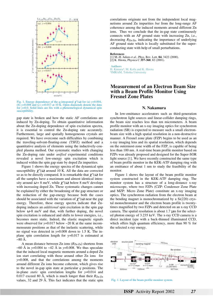

Fig. 1. Energy dependence of the q-integrated  $\chi''(\omega)$  for (a)  $y=0.004$ , (b)  $y=0.008$  and (c)  $y=0.017$  at 10 K. Open diamonds denote the data for *y*=0.0. Solid lines are fits with a phenomelogical dynamical spin susceptibility.

gap state is broken and how the static AF correlations are induced by Zn-doping. To obtain quantitative information about the Zn-doping dependence of spin excitation spectra, it is essential to control the Zn-doping rate accurately. Furthermore, large and spatially homogeneous crystals are required. We have overcome such difficulties by combining the traveling-solvent-floating-zone (TSFZ) method and a quantitative analysis of elements using the inductively-coupled plasma method. Our systematic studies with changing the Zn-doping rate under *unified* experimental conditions revealed a novel low-energy spin excitation which is induced within the spin gap state by doped Zn impurities.

Figure 1 shows the energy spectra of the dynamical spin susceptibility  $\chi''(\omega)$  around 10 K. All the data are corrected so as to be directly compared. It is remarkable that  $\chi''(\omega)$  for all the samples have a maximum and almost identical intensity around  $\omega = 8$  meV, while  $\chi''(\omega)$  below 8 meV develops with increasing doped Zn. These systematic changes cannot be explained by either the broadening of the gap structure or the reduction of the gap-energy because both the cases should be associated with the variation of  $\chi''(\omega)$  near the gap energy. Therefore, these energy spectra indicate that Zndoping induces an *additional* spin excitation in the spin gap below  $\omega$ -8 meV and that, with further doping, the novel spin excitation is enhanced and shifts to lower energies, i.e., becomes more static. Indeed, the elastic magnetic signals were observed for *y*=0.017 below ~20 K at the same incommensurate positions as that of the inelastic scattering, while no signal was detected in *y*=0.008 down to 1.5 K. The inplane spin correlation length for y=0.017 is estimated at  $\sim80$  Å.

A mean distance between Zn ions (*R*Zn-Zn) shortens from ~60 Å in *y*=0.004 to ~42 Å in *y*=0.008. We thus speculate that the induced local magnetic moments around a doped Zn ion start correlating with those around other Zn ions for *y*=0.008, and that the correlations among the moments around different Zn ions become coherent, which gives rise to the novel in-gap spin state at particular *q* positions. The in-plane *static* spin correlation lengths for *y*=0.014 and 0.017 exceed 80 Å, which is much longer than their  $R_{\text{Zn-Zn}}$ values, 32 and 29 Å. This fact indicates that the static spin correlations originate not from the independent local magnetisms around Zn impurities *but* from the long-range AF coherence among the induced moments around different Zn ions. Thus we conclude that the in-gap state continuously connects with an AF ground state with increasing Zn, i.e., decreasing *R*Zn-Zn, indicating the importance of underlying AF ground state which is locally substituted for the superconducting state with help of small perturbations.

#### **References**

[1] M.-H. Julien *et al*., Phys. Rev. Lett. **84**, 3422 (2000). [2] K. Hirota, Physica C **357-360**, 82 (2001).

**Authors** H. Kimura<sup>a</sup>, M. Kofu and K. Hirota <sup>a</sup>IMRAM, Tohoku University

## **Measurement of an Electron Beam Size with a Beam Profile Monitor Using Fresnel Zone Plates**

### **N. Nakamura**

In low-emittance accelerators such as third-generation synchrotron light sources and linear-collider damping rings, the beam size reaches less than ten micrometers. A beam profile monitor with an x-ray imaging optics for synchrotron radiation (SR) is expected to measure such a small electronbeam size with a high spatial resolution in a non-destructive manner. A Fresnel zone plate (FZP) begins to be used as an x-ray imaging lens and its spatial resolution, which depends on the outermost-zone width of the FZP, is capable of being less than 100 nm. A real-time beam profile monitor based on FZPs was already proposed and designed for the Super-SOR light source [1]. We have recently constructed the same type of beam profile monitor in the KEK-ATF damping ring with an emittance of about 1 nm to study the feasibility of the monitor.

Figure 1 shows the layout of the beam profile monitor system constructed in the KEK-ATF damping ring. The monitor system has a structure of a long-distance x-ray microscope, where two FZPs (CZP: Condenser Zone Plate and MZP: Micro Zone Plate) constitute an x-ray imaging optics. The synchrotron radiation from the electron beam at the bending magnet is monochromatized by a Si(220) crystal monochromator and the electron beam profile is twentytimes magnified by two FZPs and detected on an x-ray CCD camera. The spatial resolution is about  $1.7 \mu m$  for the selected photon energy of 3.235 keV. The x-ray CCD camera is a direct incident type with a back-thinned illuminated CCD, which offers high quantum efficiency, more than 90 % for the selected x-ray energy.



Fig. 1. Layout of the beam profile monitor system.